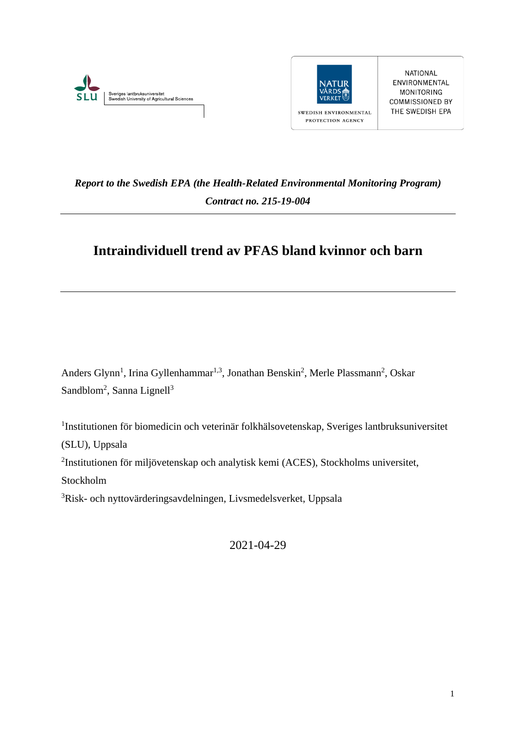



NATIONAL ENVIRONMENTAL MONITORING **COMMISSIONED BY** THE SWEDISH EPA

## *Report to the Swedish EPA (the Health-Related Environmental Monitoring Program) Contract no. 215-19-004*

# **Intraindividuell trend av PFAS bland kvinnor och barn**

Anders Glynn<sup>1</sup>, Irina Gyllenhammar<sup>1,3</sup>, Jonathan Benskin<sup>2</sup>, Merle Plassmann<sup>2</sup>, Oskar Sandblom<sup>2</sup>, Sanna Lignell<sup>3</sup>

1 Institutionen för biomedicin och veterinär folkhälsovetenskap, Sveriges lantbruksuniversitet (SLU), Uppsala

2 Institutionen för miljövetenskap och analytisk kemi (ACES), Stockholms universitet, Stockholm

<sup>3</sup>Risk- och nyttovärderingsavdelningen, Livsmedelsverket, Uppsala

2021-04-29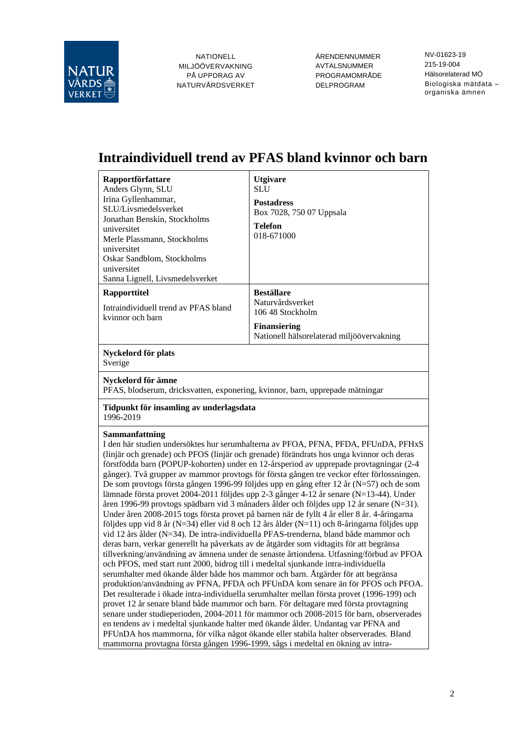

ÄRENDENNUMMER AVTALSNUMMER PROGRAMOMRÅDE DELPROGRAM

NV-01623-19 215-19-004 Hälsorelaterad MÖ Biologiska mätdata – organiska ämnen

# **Intraindividuell trend av PFAS bland kvinnor och barn**

| Rapportförfattare<br>Anders Glynn, SLU<br>Irina Gyllenhammar,<br>SLU/Livsmedelsverket<br>Jonathan Benskin, Stockholms<br>universitet<br>Merle Plassmann, Stockholms<br>universitet<br>Oskar Sandblom, Stockholms<br>universitet<br>Sanna Lignell, Livsmedelsverket                                                                                                                                                                                                                                                                                                                                                                                                                                                                                                                                                                                                                                                                                                                                                                                                                                                                                                                                                                                                                                                                                                                                                                                                                                                                                                                                                                                                                                                                                                                                                                                                                                                                                                | <b>Utgivare</b><br>SLU<br><b>Postadress</b><br>Box 7028, 750 07 Uppsala<br><b>Telefon</b><br>018-671000 |  |  |  |
|-------------------------------------------------------------------------------------------------------------------------------------------------------------------------------------------------------------------------------------------------------------------------------------------------------------------------------------------------------------------------------------------------------------------------------------------------------------------------------------------------------------------------------------------------------------------------------------------------------------------------------------------------------------------------------------------------------------------------------------------------------------------------------------------------------------------------------------------------------------------------------------------------------------------------------------------------------------------------------------------------------------------------------------------------------------------------------------------------------------------------------------------------------------------------------------------------------------------------------------------------------------------------------------------------------------------------------------------------------------------------------------------------------------------------------------------------------------------------------------------------------------------------------------------------------------------------------------------------------------------------------------------------------------------------------------------------------------------------------------------------------------------------------------------------------------------------------------------------------------------------------------------------------------------------------------------------------------------|---------------------------------------------------------------------------------------------------------|--|--|--|
| Rapporttitel                                                                                                                                                                                                                                                                                                                                                                                                                                                                                                                                                                                                                                                                                                                                                                                                                                                                                                                                                                                                                                                                                                                                                                                                                                                                                                                                                                                                                                                                                                                                                                                                                                                                                                                                                                                                                                                                                                                                                      | <b>Beställare</b>                                                                                       |  |  |  |
| Intraindividuell trend av PFAS bland                                                                                                                                                                                                                                                                                                                                                                                                                                                                                                                                                                                                                                                                                                                                                                                                                                                                                                                                                                                                                                                                                                                                                                                                                                                                                                                                                                                                                                                                                                                                                                                                                                                                                                                                                                                                                                                                                                                              | Naturvårdsverket<br>106 48 Stockholm                                                                    |  |  |  |
| kvinnor och barn                                                                                                                                                                                                                                                                                                                                                                                                                                                                                                                                                                                                                                                                                                                                                                                                                                                                                                                                                                                                                                                                                                                                                                                                                                                                                                                                                                                                                                                                                                                                                                                                                                                                                                                                                                                                                                                                                                                                                  | <b>Finansiering</b><br>Nationell hälsorelaterad miljöövervakning                                        |  |  |  |
| Nyckelord för plats<br>Sverige                                                                                                                                                                                                                                                                                                                                                                                                                                                                                                                                                                                                                                                                                                                                                                                                                                                                                                                                                                                                                                                                                                                                                                                                                                                                                                                                                                                                                                                                                                                                                                                                                                                                                                                                                                                                                                                                                                                                    |                                                                                                         |  |  |  |
| Nyckelord för ämne<br>PFAS, blodserum, dricksvatten, exponering, kvinnor, barn, upprepade mätningar                                                                                                                                                                                                                                                                                                                                                                                                                                                                                                                                                                                                                                                                                                                                                                                                                                                                                                                                                                                                                                                                                                                                                                                                                                                                                                                                                                                                                                                                                                                                                                                                                                                                                                                                                                                                                                                               |                                                                                                         |  |  |  |
| Tidpunkt för insamling av underlagsdata<br>1996-2019                                                                                                                                                                                                                                                                                                                                                                                                                                                                                                                                                                                                                                                                                                                                                                                                                                                                                                                                                                                                                                                                                                                                                                                                                                                                                                                                                                                                                                                                                                                                                                                                                                                                                                                                                                                                                                                                                                              |                                                                                                         |  |  |  |
| Sammanfattning<br>I den här studien undersöktes hur serumhalterna av PFOA, PFNA, PFDA, PFUnDA, PFHxS<br>(linjär och grenade) och PFOS (linjär och grenade) förändrats hos unga kvinnor och deras<br>förstfödda barn (POPUP-kohorten) under en 12-årsperiod av upprepade provtagningar (2-4<br>gånger). Två grupper av mammor provtogs för första gången tre veckor efter förlossningen.<br>De som provtogs första gången 1996-99 följdes upp en gång efter 12 år (N=57) och de som<br>lämnade första provet 2004-2011 följdes upp 2-3 gånger 4-12 år senare (N=13-44). Under<br>åren 1996-99 provtogs spädbarn vid 3 månaders ålder och följdes upp 12 år senare (N=31).<br>Under åren 2008-2015 togs första provet på barnen när de fyllt 4 år eller 8 år. 4-åringarna<br>följdes upp vid 8 år (N=34) eller vid 8 och 12 års ålder (N=11) och 8-åringarna följdes upp<br>vid 12 års ålder (N=34). De intra-individuella PFAS-trenderna, bland både mammor och<br>deras barn, verkar generellt ha påverkats av de åtgärder som vidtagits för att begränsa<br>tillverkning/användning av ämnena under de senaste årtiondena. Utfasning/förbud av PFOA<br>och PFOS, med start runt 2000, bidrog till i medeltal sjunkande intra-individuella<br>serumhalter med ökande ålder både hos mammor och barn. Åtgärder för att begränsa<br>produktion/användning av PFNA, PFDA och PFUnDA kom senare än för PFOS och PFOA.<br>Det resulterade i ökade intra-individuella serumhalter mellan första provet (1996-199) och<br>provet 12 år senare bland både mammor och barn. För deltagare med första provtagning<br>senare under studieperioden, 2004-2011 för mammor och 2008-2015 för barn, observerades<br>en tendens av i medeltal sjunkande halter med ökande ålder. Undantag var PFNA and<br>PFUnDA hos mammorna, för vilka något ökande eller stabila halter observerades. Bland<br>mammorna provtagna första gången 1996-1999, sågs i medeltal en ökning av intra- |                                                                                                         |  |  |  |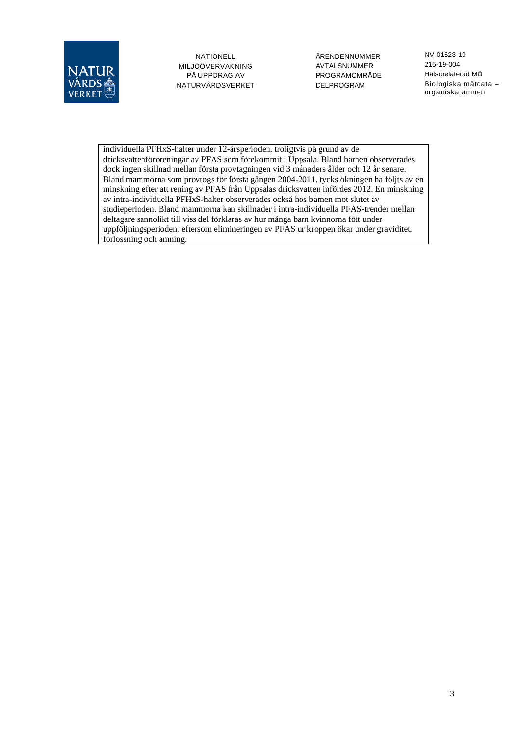

ÄRENDENNUMMER AVTALSNUMMER PROGRAMOMRÅDE DELPROGRAM

NV-01623-19 215-19-004 Hälsorelaterad MÖ Biologiska mätdata – organiska ämnen

individuella PFHxS-halter under 12-årsperioden, troligtvis på grund av de dricksvattenföroreningar av PFAS som förekommit i Uppsala. Bland barnen observerades dock ingen skillnad mellan första provtagningen vid 3 månaders ålder och 12 år senare. Bland mammorna som provtogs för första gången 2004-2011, tycks ökningen ha följts av en minskning efter att rening av PFAS från Uppsalas dricksvatten infördes 2012. En minskning av intra-individuella PFHxS-halter observerades också hos barnen mot slutet av studieperioden. Bland mammorna kan skillnader i intra-individuella PFAS-trender mellan deltagare sannolikt till viss del förklaras av hur många barn kvinnorna fött under uppföljningsperioden, eftersom elimineringen av PFAS ur kroppen ökar under graviditet, förlossning och amning.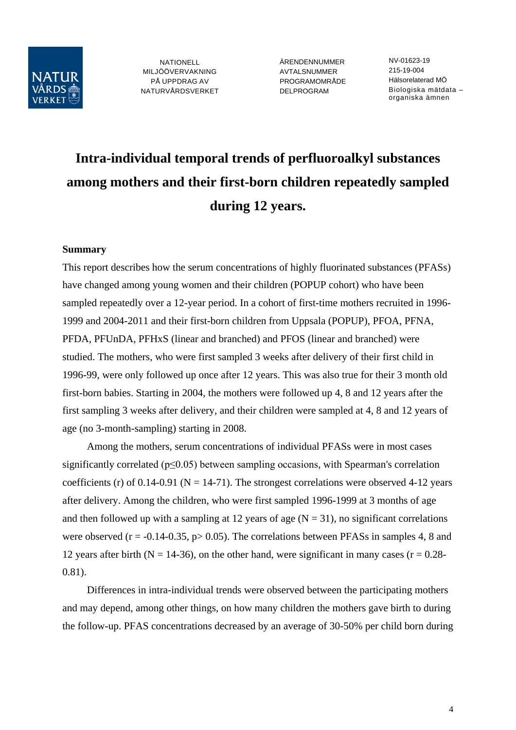

ÄRENDENNUMMER AVTALSNUMMER PROGRAMOMRÅDE DELPROGRAM

NV-01623-19 215-19-004 Hälsorelaterad MÖ Biologiska mätdata – organiska ämnen

# **Intra-individual temporal trends of perfluoroalkyl substances among mothers and their first-born children repeatedly sampled during 12 years.**

#### **Summary**

This report describes how the serum concentrations of highly fluorinated substances (PFASs) have changed among young women and their children (POPUP cohort) who have been sampled repeatedly over a 12-year period. In a cohort of first-time mothers recruited in 1996- 1999 and 2004-2011 and their first-born children from Uppsala (POPUP), PFOA, PFNA, PFDA, PFUnDA, PFHxS (linear and branched) and PFOS (linear and branched) were studied. The mothers, who were first sampled 3 weeks after delivery of their first child in 1996-99, were only followed up once after 12 years. This was also true for their 3 month old first-born babies. Starting in 2004, the mothers were followed up 4, 8 and 12 years after the first sampling 3 weeks after delivery, and their children were sampled at 4, 8 and 12 years of age (no 3-month-sampling) starting in 2008.

Among the mothers, serum concentrations of individual PFASs were in most cases significantly correlated ( $p \le 0.05$ ) between sampling occasions, with Spearman's correlation coefficients (r) of 0.14-0.91 ( $N = 14-71$ ). The strongest correlations were observed 4-12 years after delivery. Among the children, who were first sampled 1996-1999 at 3 months of age and then followed up with a sampling at 12 years of age  $(N = 31)$ , no significant correlations were observed ( $r = -0.14 - 0.35$ ,  $p > 0.05$ ). The correlations between PFASs in samples 4, 8 and 12 years after birth ( $N = 14-36$ ), on the other hand, were significant in many cases ( $r = 0.28-$ 0.81).

Differences in intra-individual trends were observed between the participating mothers and may depend, among other things, on how many children the mothers gave birth to during the follow-up. PFAS concentrations decreased by an average of 30-50% per child born during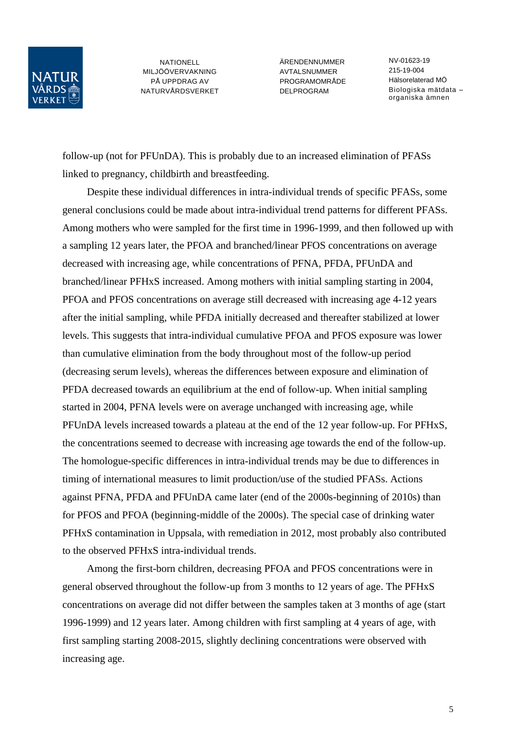

ÄRENDENNUMMER **AVTAL SNUMMER** PROGRAMOMRÅDE DELPROGRAM

NV-01623-19 215-19-004 Hälsorelaterad MÖ Biologiska mätdata – organiska ämnen

follow-up (not for PFUnDA). This is probably due to an increased elimination of PFASs linked to pregnancy, childbirth and breastfeeding.

Despite these individual differences in intra-individual trends of specific PFASs, some general conclusions could be made about intra-individual trend patterns for different PFASs. Among mothers who were sampled for the first time in 1996-1999, and then followed up with a sampling 12 years later, the PFOA and branched/linear PFOS concentrations on average decreased with increasing age, while concentrations of PFNA, PFDA, PFUnDA and branched/linear PFHxS increased. Among mothers with initial sampling starting in 2004, PFOA and PFOS concentrations on average still decreased with increasing age 4-12 years after the initial sampling, while PFDA initially decreased and thereafter stabilized at lower levels. This suggests that intra-individual cumulative PFOA and PFOS exposure was lower than cumulative elimination from the body throughout most of the follow-up period (decreasing serum levels), whereas the differences between exposure and elimination of PFDA decreased towards an equilibrium at the end of follow-up. When initial sampling started in 2004, PFNA levels were on average unchanged with increasing age, while PFUnDA levels increased towards a plateau at the end of the 12 year follow-up. For PFHxS, the concentrations seemed to decrease with increasing age towards the end of the follow-up. The homologue-specific differences in intra-individual trends may be due to differences in timing of international measures to limit production/use of the studied PFASs. Actions against PFNA, PFDA and PFUnDA came later (end of the 2000s-beginning of 2010s) than for PFOS and PFOA (beginning-middle of the 2000s). The special case of drinking water PFHxS contamination in Uppsala, with remediation in 2012, most probably also contributed to the observed PFHxS intra-individual trends.

Among the first-born children, decreasing PFOA and PFOS concentrations were in general observed throughout the follow-up from 3 months to 12 years of age. The PFHxS concentrations on average did not differ between the samples taken at 3 months of age (start 1996-1999) and 12 years later. Among children with first sampling at 4 years of age, with first sampling starting 2008-2015, slightly declining concentrations were observed with increasing age.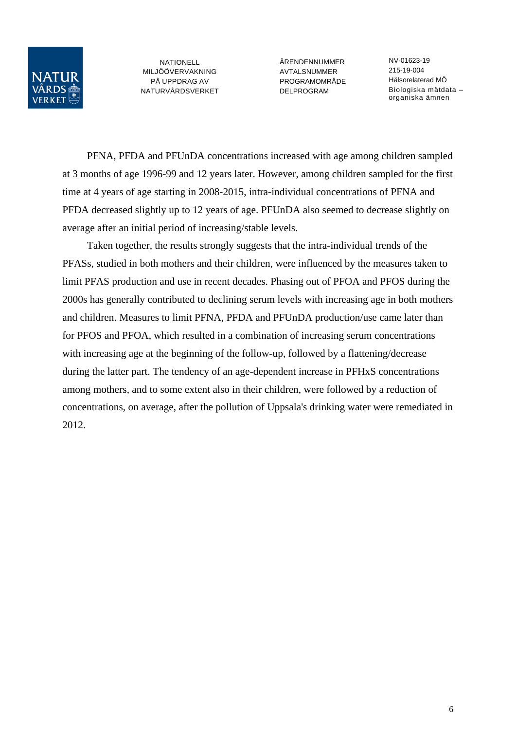

ÄRENDENNUMMER AVTALSNUMMER PROGRAMOMRÅDE DELPROGRAM

NV-01623-19 215-19-004 Hälsorelaterad MÖ Biologiska mätdata – organiska ämnen

PFNA, PFDA and PFUnDA concentrations increased with age among children sampled at 3 months of age 1996-99 and 12 years later. However, among children sampled for the first time at 4 years of age starting in 2008-2015, intra-individual concentrations of PFNA and PFDA decreased slightly up to 12 years of age. PFUnDA also seemed to decrease slightly on average after an initial period of increasing/stable levels.

Taken together, the results strongly suggests that the intra-individual trends of the PFASs, studied in both mothers and their children, were influenced by the measures taken to limit PFAS production and use in recent decades. Phasing out of PFOA and PFOS during the 2000s has generally contributed to declining serum levels with increasing age in both mothers and children. Measures to limit PFNA, PFDA and PFUnDA production/use came later than for PFOS and PFOA, which resulted in a combination of increasing serum concentrations with increasing age at the beginning of the follow-up, followed by a flattening/decrease during the latter part. The tendency of an age-dependent increase in PFHxS concentrations among mothers, and to some extent also in their children, were followed by a reduction of concentrations, on average, after the pollution of Uppsala's drinking water were remediated in 2012.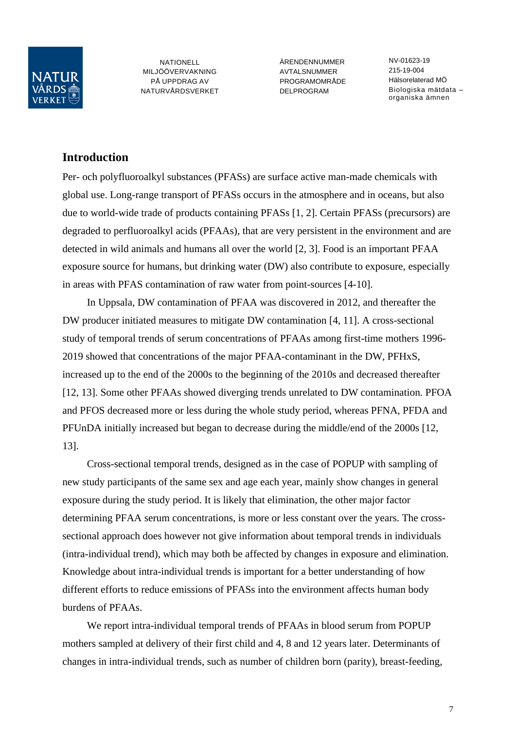

ÄRENDENNUMMER **AVTAL SNUMMER** PROGRAMOMRÅDE DELPROGRAM

NV-01623-19 215-19-004 Hälsorelaterad MÖ Biologiska mätdata – organiska ämnen

## **Introduction**

Per- och polyfluoroalkyl substances (PFASs) are surface active man-made chemicals with global use. Long-range transport of PFASs occurs in the atmosphere and in oceans, but also due to world-wide trade of products containing PFASs [1, 2]. Certain PFASs (precursors) are degraded to perfluoroalkyl acids (PFAAs), that are very persistent in the environment and are detected in wild animals and humans all over the world [2, 3]. Food is an important PFAA exposure source for humans, but drinking water (DW) also contribute to exposure, especially in areas with PFAS contamination of raw water from point-sources [4-10].

In Uppsala, DW contamination of PFAA was discovered in 2012, and thereafter the DW producer initiated measures to mitigate DW contamination [4, 11]. A cross-sectional study of temporal trends of serum concentrations of PFAAs among first-time mothers 1996- 2019 showed that concentrations of the major PFAA-contaminant in the DW, PFHxS, increased up to the end of the 2000s to the beginning of the 2010s and decreased thereafter [12, 13]. Some other PFAAs showed diverging trends unrelated to DW contamination. PFOA and PFOS decreased more or less during the whole study period, whereas PFNA, PFDA and PFUnDA initially increased but began to decrease during the middle/end of the 2000s [12, 13].

Cross-sectional temporal trends, designed as in the case of POPUP with sampling of new study participants of the same sex and age each year, mainly show changes in general exposure during the study period. It is likely that elimination, the other major factor determining PFAA serum concentrations, is more or less constant over the years. The crosssectional approach does however not give information about temporal trends in individuals (intra-individual trend), which may both be affected by changes in exposure and elimination. Knowledge about intra-individual trends is important for a better understanding of how different efforts to reduce emissions of PFASs into the environment affects human body burdens of PFAAs.

We report intra-individual temporal trends of PFAAs in blood serum from POPUP mothers sampled at delivery of their first child and 4, 8 and 12 years later. Determinants of changes in intra-individual trends, such as number of children born (parity), breast-feeding,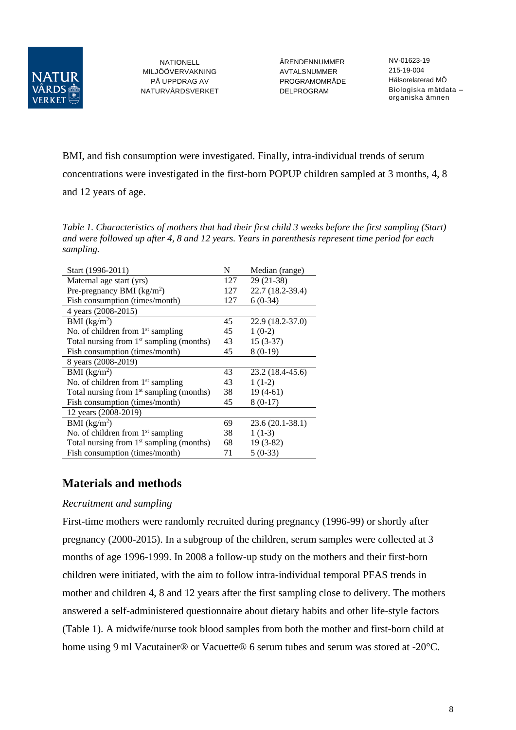

ÄRENDENNUMMER AVTALSNUMMER PROGRAMOMRÅDE DELPROGRAM

NV-01623-19 215-19-004 Hälsorelaterad MÖ Biologiska mätdata – organiska ämnen

BMI, and fish consumption were investigated. Finally, intra-individual trends of serum concentrations were investigated in the first-born POPUP children sampled at 3 months, 4, 8 and 12 years of age.

*Table 1. Characteristics of mothers that had their first child 3 weeks before the first sampling (Start) and were followed up after 4, 8 and 12 years. Years in parenthesis represent time period for each sampling.*

| Start (1996-2011)                                    | N   | Median (range)   |
|------------------------------------------------------|-----|------------------|
| Maternal age start (yrs)                             | 127 | $29(21-38)$      |
| Pre-pregnancy BMI $(kg/m2)$                          | 127 | 22.7 (18.2-39.4) |
| Fish consumption (times/month)                       | 127 | $6(0-34)$        |
| 4 years (2008-2015)                                  |     |                  |
| BMI $(kg/m2)$                                        | 45  | 22.9 (18.2-37.0) |
| No. of children from $1st$ sampling                  | 45  | $1(0-2)$         |
| Total nursing from 1 <sup>st</sup> sampling (months) | 43  | $15(3-37)$       |
| Fish consumption (times/month)                       | 45  | $8(0-19)$        |
| 8 years (2008-2019)                                  |     |                  |
| BMI $(kg/m2)$                                        | 43  | 23.2 (18.4-45.6) |
| No. of children from 1 <sup>st</sup> sampling        | 43  | $1(1-2)$         |
| Total nursing from $1st$ sampling (months)           | 38  | $19(4-61)$       |
| Fish consumption (times/month)                       | 45  | $8(0-17)$        |
| 12 years (2008-2019)                                 |     |                  |
| BMI $(kg/m2)$                                        | 69  | 23.6 (20.1-38.1) |
| No. of children from $1st$ sampling                  | 38  | $1(1-3)$         |
| Total nursing from $1st$ sampling (months)           | 68  | $19(3-82)$       |
| Fish consumption (times/month)                       | 71  | $5(0-33)$        |

## **Materials and methods**

#### *Recruitment and sampling*

First-time mothers were randomly recruited during pregnancy (1996-99) or shortly after pregnancy (2000-2015). In a subgroup of the children, serum samples were collected at 3 months of age 1996-1999. In 2008 a follow-up study on the mothers and their first-born children were initiated, with the aim to follow intra-individual temporal PFAS trends in mother and children 4, 8 and 12 years after the first sampling close to delivery. The mothers answered a self-administered questionnaire about dietary habits and other life-style factors (Table 1). A midwife/nurse took blood samples from both the mother and first-born child at home using 9 ml Vacutainer® or Vacuette® 6 serum tubes and serum was stored at -20°C.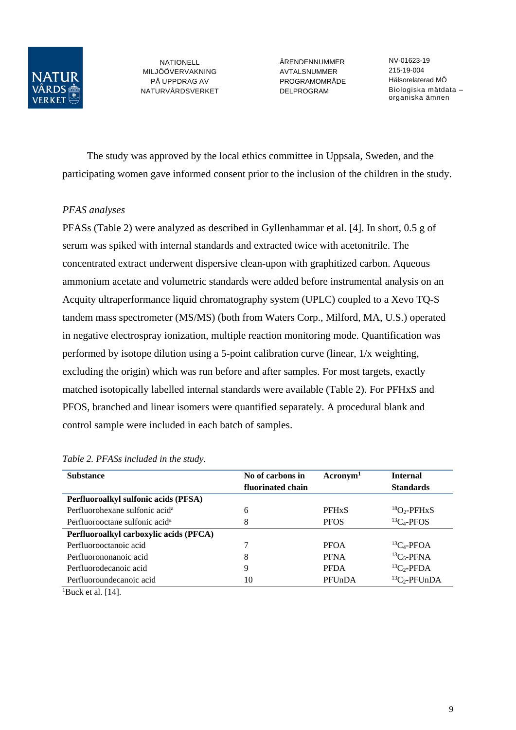

ÄRENDENNUMMER AVTALSNUMMER PROGRAMOMRÅDE DELPROGRAM

NV-01623-19 215-19-004 Hälsorelaterad MÖ Biologiska mätdata – organiska ämnen

The study was approved by the local ethics committee in Uppsala, Sweden, and the participating women gave informed consent prior to the inclusion of the children in the study.

#### *PFAS analyses*

PFASs (Table 2) were analyzed as described in Gyllenhammar et al. [4]. In short, 0.5 g of serum was spiked with internal standards and extracted twice with acetonitrile. The concentrated extract underwent dispersive clean-upon with graphitized carbon. Aqueous ammonium acetate and volumetric standards were added before instrumental analysis on an Acquity ultraperformance liquid chromatography system (UPLC) coupled to a Xevo TQ-S tandem mass spectrometer (MS/MS) (both from Waters Corp., Milford, MA, U.S.) operated in negative electrospray ionization, multiple reaction monitoring mode. Quantification was performed by isotope dilution using a 5-point calibration curve (linear, 1/x weighting, excluding the origin) which was run before and after samples. For most targets, exactly matched isotopically labelled internal standards were available (Table 2). For PFHxS and PFOS, branched and linear isomers were quantified separately. A procedural blank and control sample were included in each batch of samples.

| <b>Substance</b>                           | No of carbons in  | $\rm{Acronym}^1$ | <b>Internal</b>      |
|--------------------------------------------|-------------------|------------------|----------------------|
|                                            | fluorinated chain |                  | <b>Standards</b>     |
| Perfluoroalkyl sulfonic acids (PFSA)       |                   |                  |                      |
| Perfluorohexane sulfonic acid <sup>a</sup> | 6                 | <b>PFHxS</b>     | ${}^{18}O_2$ -PFHxS  |
| Perfluorooctane sulfonic acid <sup>a</sup> | 8                 | <b>PFOS</b>      | ${}^{13}C_4$ -PFOS   |
| Perfluoroalkyl carboxylic acids (PFCA)     |                   |                  |                      |
| Perfluorooctanoic acid                     |                   | <b>PFOA</b>      | ${}^{13}C_4$ -PFOA   |
| Perfluorononanoic acid                     | 8                 | <b>PFNA</b>      | ${}^{13}C_5$ -PFNA   |
| Perfluorodecanoic acid                     | 9                 | <b>PFDA</b>      | ${}^{13}C_2$ -PFDA   |
| Perfluoroundecanoic acid                   | 10                | PFUnDA           | ${}^{13}C_2$ -PFUnDA |
| <sup>1</sup> Buck et al. [14].             |                   |                  |                      |

#### *Table 2. PFASs included in the study.*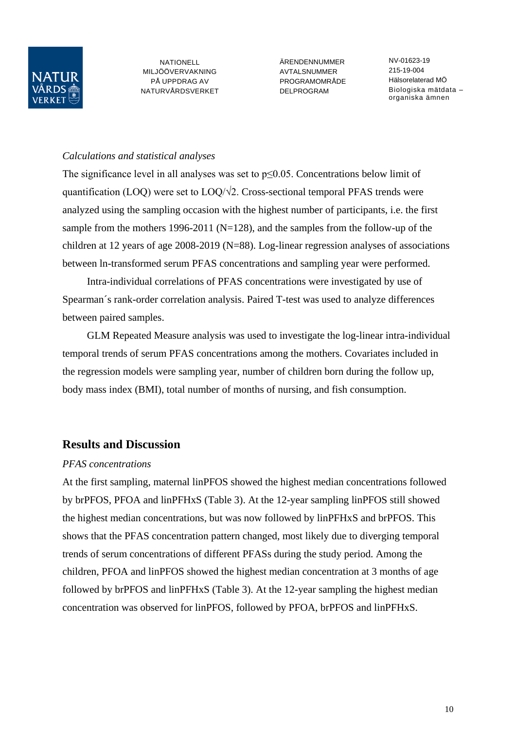

ÄRENDENNUMMER AVTALSNUMMER PROGRAMOMRÅDE DELPROGRAM

NV-01623-19 215-19-004 Hälsorelaterad MÖ Biologiska mätdata – organiska ämnen

#### *Calculations and statistical analyses*

The significance level in all analyses was set to p≤0.05. Concentrations below limit of quantification (LOQ) were set to  $LOQ/\sqrt{2}$ . Cross-sectional temporal PFAS trends were analyzed using the sampling occasion with the highest number of participants, i.e. the first sample from the mothers 1996-2011 ( $N=128$ ), and the samples from the follow-up of the children at 12 years of age 2008-2019 (N=88). Log-linear regression analyses of associations between ln-transformed serum PFAS concentrations and sampling year were performed.

Intra-individual correlations of PFAS concentrations were investigated by use of Spearman´s rank-order correlation analysis. Paired T-test was used to analyze differences between paired samples.

GLM Repeated Measure analysis was used to investigate the log-linear intra-individual temporal trends of serum PFAS concentrations among the mothers. Covariates included in the regression models were sampling year, number of children born during the follow up, body mass index (BMI), total number of months of nursing, and fish consumption.

## **Results and Discussion**

#### *PFAS concentrations*

At the first sampling, maternal linPFOS showed the highest median concentrations followed by brPFOS, PFOA and linPFHxS (Table 3). At the 12-year sampling linPFOS still showed the highest median concentrations, but was now followed by linPFHxS and brPFOS. This shows that the PFAS concentration pattern changed, most likely due to diverging temporal trends of serum concentrations of different PFASs during the study period. Among the children, PFOA and linPFOS showed the highest median concentration at 3 months of age followed by brPFOS and linPFHxS (Table 3). At the 12-year sampling the highest median concentration was observed for linPFOS, followed by PFOA, brPFOS and linPFHxS.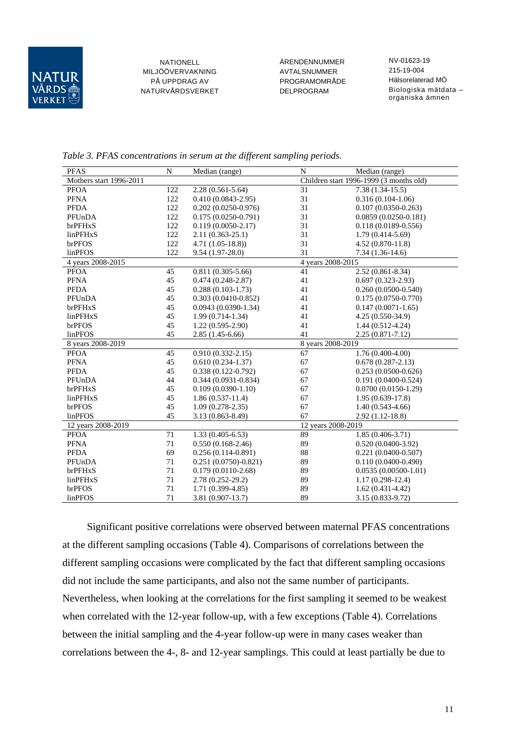

ÄRENDENNUMMER AVTALSNUMMER PROGRAMOMRÅDE DELPROGRAM

NV-01623-19 215-19-004 Hälsorelaterad MÖ Biologiska mätdata – organiska ämnen

*Table 3. PFAS concentrations in serum at the different sampling periods.*

| <b>PFAS</b>             | N   | Median (range)                | $\mathbf N$<br>Median (range)           |                         |
|-------------------------|-----|-------------------------------|-----------------------------------------|-------------------------|
| Mothers start 1996-2011 |     |                               | Children start 1996-1999 (3 months old) |                         |
| <b>PFOA</b>             | 122 | $2.28(0.561 - 5.64)$          | $\overline{31}$                         | $7.38(1.34-15.5)$       |
| <b>PFNA</b>             | 122 | 31<br>$0.410(0.0843 - 2.95)$  |                                         | $0.316(0.104-1.06)$     |
| <b>PFDA</b>             | 122 | 31<br>$0.202(0.0250 - 0.976)$ |                                         | $0.107(0.0350 - 0.263)$ |
| PFUnDA                  | 122 | $0.175(0.0250-0.791)$         | 31                                      | $0.0859(0.0250-0.181)$  |
| brPFHxS                 | 122 | $0.119(0.0050-2.17)$          | 31                                      | $0.118(0.0189 - 0.556)$ |
| linPFHxS                | 122 | $2.11(0.363 - 25.1)$          | 31                                      | $1.79(0.414 - 5.69)$    |
| brPFOS                  | 122 | $4.71(1.05-18.8)$             | 31                                      | $4.52(0.870-11.8)$      |
| linPFOS                 | 122 | $9.54(1.97-28.0)$             | 31                                      | $7.34(1.36-14.6)$       |
| 4 years 2008-2015       |     |                               | 4 years 2008-2015                       |                         |
| <b>PFOA</b>             | 45  | $0.811(0.305 - 5.66)$         | 41                                      | $2.52(0.861 - 8.34)$    |
| <b>PFNA</b>             | 45  | $0.474(0.248-2.87)$           | 41                                      | $0.697(0.323 - 2.93)$   |
| <b>PFDA</b>             | 45  | $0.288(0.103-1.73)$           | 41                                      | $0.260(0.0500 - 0.540)$ |
| PFUnDA                  | 45  | $0.303(0.0410-0.852)$         | 41                                      | $0.175(0.0750-0.770)$   |
| brPFHxS                 | 45  | $0.0943(0.0390-1.34)$         | 41                                      | $0.147(0.0071-1.65)$    |
| linPFHxS                | 45  | $1.99(0.714-1.34)$            | 41                                      | $4.25(0.550-34.9)$      |
| brPFOS                  | 45  | 41<br>$1.22(0.595-2.90)$      |                                         | $1.44(0.512-4.24)$      |
| linPFOS                 | 45  | $2.85(1.45-6.66)$             | 41                                      | 2.25 (0.871-7.12)       |
| 8 years 2008-2019       |     |                               | 8 years 2008-2019                       |                         |
| <b>PFOA</b>             | 45  | $0.910(0.332 - 2.15)$         | 67                                      | $1.76(0.400-4.00)$      |
| <b>PFNA</b>             | 45  | $0.610(0.234-1.37)$           | 67                                      | $0.678(0.287-2.13)$     |
| <b>PFDA</b>             | 45  | $0.338(0.122 - 0.792)$        | 67                                      | $0.253(0.0500 - 0.626)$ |
| PFUnDA                  | 44  | $0.344(0.0931 - 0.834)$       | 67                                      | $0.191(0.0400 - 0.524)$ |
| brPFHxS                 | 45  | $0.109(0.0390-1.10)$          | 67                                      | $0.0700(0.0150-1.29)$   |
| linPFHxS                | 45  | $1.86(0.537-11.4)$            | 67                                      | $1.95(0.639-17.8)$      |
| brPFOS                  | 45  | $1.09(0.278-2.35)$            | 67<br>$1.40(0.543-4.66)$                |                         |
| linPFOS                 | 45  | $3.13(0.863 - 8.49)$          | 67                                      | $2.92(1.12-18.8)$       |
| 12 years 2008-2019      |     |                               |                                         | 12 years 2008-2019      |
| <b>PFOA</b>             | 71  | $1.33(0.405 - 6.53)$          | 89                                      | $1.85(0.406-3.71)$      |
| <b>PFNA</b>             | 71  | $0.550(0.168-2.46)$           | 89                                      | $0.520(0.0400-3.92)$    |
| <b>PFDA</b>             | 69  | $0.256(0.114-0.891)$          | 88                                      | $0.221(0.0400 - 0.507)$ |
| PFUnDA                  | 71  | $0.251(0.0750)-0.821$         | 89                                      | $0.110(0.0400 - 0.490)$ |
| brPFHxS                 | 71  | $0.179(0.0110-2.68)$          | 89                                      | $0.0535(0.00500-1.01)$  |
| linPFHxS                | 71  | $2.78(0.252 - 29.2)$          | 89                                      | $1.17(0.298-12.4)$      |
| brPFOS                  | 71  | $1.71(0.399 - 4.85)$          | 89                                      | $1.62(0.431-4.42)$      |
| linPFOS                 | 71  | $3.81(0.907-13.7)$            | 89                                      | 3.15 (0.833-9.72)       |

Significant positive correlations were observed between maternal PFAS concentrations at the different sampling occasions (Table 4). Comparisons of correlations between the different sampling occasions were complicated by the fact that different sampling occasions did not include the same participants, and also not the same number of participants. Nevertheless, when looking at the correlations for the first sampling it seemed to be weakest when correlated with the 12-year follow-up, with a few exceptions (Table 4). Correlations between the initial sampling and the 4-year follow-up were in many cases weaker than correlations between the 4-, 8- and 12-year samplings. This could at least partially be due to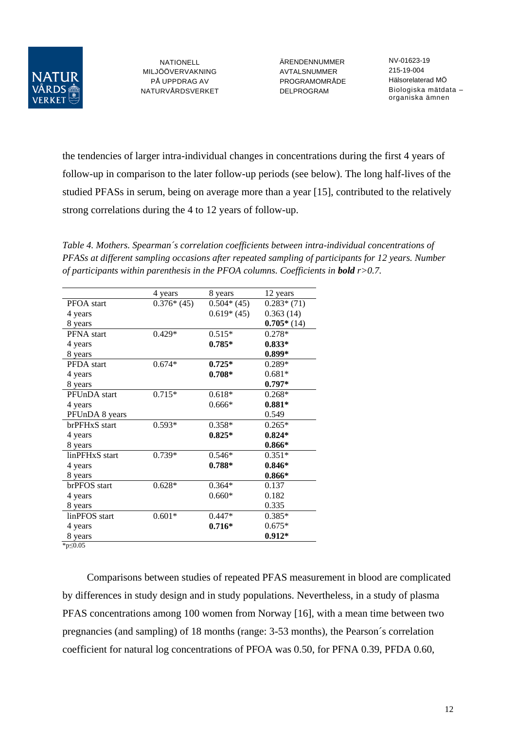

ÄRENDENNUMMER AVTALSNUMMER PROGRAMOMRÅDE DELPROGRAM

NV-01623-19 215-19-004 Hälsorelaterad MÖ Biologiska mätdata – organiska ämnen

the tendencies of larger intra-individual changes in concentrations during the first 4 years of follow-up in comparison to the later follow-up periods (see below). The long half-lives of the studied PFASs in serum, being on average more than a year [15], contributed to the relatively strong correlations during the 4 to 12 years of follow-up.

*Table 4. Mothers. Spearman´s correlation coefficients between intra-individual concentrations of PFASs at different sampling occasions after repeated sampling of participants for 12 years. Number of participants within parenthesis in the PFOA columns. Coefficients in bold r>0.7.*

|                | 4 years      | 8 years      | 12 years     |
|----------------|--------------|--------------|--------------|
| PFOA start     | $0.376*(45)$ | $0.504*(45)$ | $0.283*(71)$ |
| 4 years        |              | $0.619*(45)$ | 0.363(14)    |
| 8 years        |              |              | $0.705*(14)$ |
| PFNA start     | $0.429*$     | $0.515*$     | 0.278*       |
| 4 years        |              | $0.785*$     | $0.833*$     |
| 8 years        |              |              | $0.899*$     |
| PFDA start     | $0.674*$     | $0.725*$     | $0.289*$     |
| 4 years        |              | $0.708*$     | $0.681*$     |
| 8 years        |              |              | $0.797*$     |
| PFUnDA start   | $0.715*$     | $0.618*$     | $0.268*$     |
| 4 years        |              | $0.666*$     | $0.881*$     |
| PFUnDA 8 years |              |              | 0.549        |
| brPFHxS start  | $0.593*$     | $0.358*$     | $0.265*$     |
| 4 years        |              | $0.825*$     | $0.824*$     |
| 8 years        |              |              | $0.866*$     |
| linPFHxS start | 0.739*       | $0.546*$     | $0.351*$     |
| 4 years        |              | $0.788*$     | $0.846*$     |
| 8 years        |              |              | $0.866*$     |
| brPFOS start   | $0.628*$     | $0.364*$     | 0.137        |
| 4 years        |              | $0.660*$     | 0.182        |
| 8 years        |              |              | 0.335        |
| linPFOS start  | $0.601*$     | $0.447*$     | $0.385*$     |
| 4 years        |              | $0.716*$     | $0.675*$     |
| 8 years        |              |              | $0.912*$     |
| $*n<0.05$      |              |              |              |

\*p≤0.05

Comparisons between studies of repeated PFAS measurement in blood are complicated by differences in study design and in study populations. Nevertheless, in a study of plasma PFAS concentrations among 100 women from Norway [16], with a mean time between two pregnancies (and sampling) of 18 months (range: 3-53 months), the Pearson´s correlation coefficient for natural log concentrations of PFOA was 0.50, for PFNA 0.39, PFDA 0.60,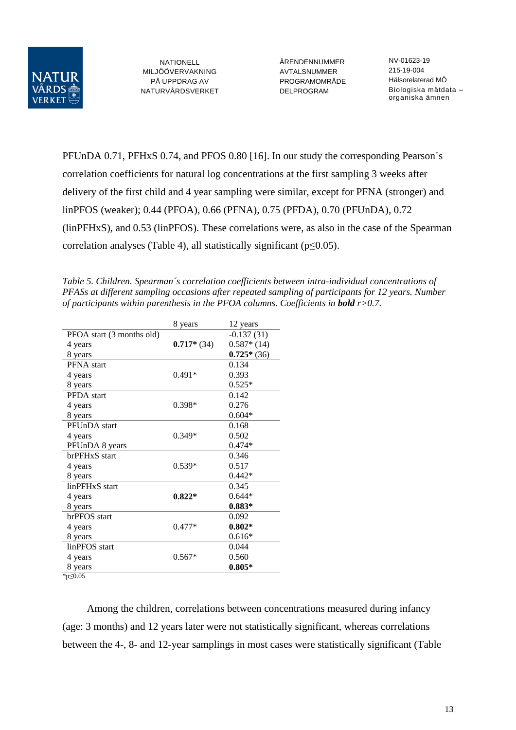

ÄRENDENNUMMER AVTALSNUMMER PROGRAMOMRÅDE DELPROGRAM

NV-01623-19 215-19-004 Hälsorelaterad MÖ Biologiska mätdata – organiska ämnen

PFUnDA 0.71, PFHxS 0.74, and PFOS 0.80 [16]. In our study the corresponding Pearson´s correlation coefficients for natural log concentrations at the first sampling 3 weeks after delivery of the first child and 4 year sampling were similar, except for PFNA (stronger) and linPFOS (weaker); 0.44 (PFOA), 0.66 (PFNA), 0.75 (PFDA), 0.70 (PFUnDA), 0.72 (linPFHxS), and 0.53 (linPFOS). These correlations were, as also in the case of the Spearman correlation analyses (Table 4), all statistically significant ( $p \le 0.05$ ).

*Table 5. Children. Spearman´s correlation coefficients between intra-individual concentrations of PFASs at different sampling occasions after repeated sampling of participants for 12 years. Number of participants within parenthesis in the PFOA columns. Coefficients in bold r>0.7.*

|                           | 8 years      | 12 years     |
|---------------------------|--------------|--------------|
| PFOA start (3 months old) |              | $-0.137(31)$ |
| 4 years                   | $0.717*(34)$ | $0.587*(14)$ |
| 8 years                   |              | $0.725*(36)$ |
| <b>PFNA</b> start         |              | 0.134        |
| 4 years                   | $0.491*$     | 0.393        |
| 8 years                   |              | $0.525*$     |
| PFDA start                |              | 0.142        |
| 4 years                   | $0.398*$     | 0.276        |
| 8 years                   |              | $0.604*$     |
| PFUnDA start              |              | 0.168        |
| 4 years                   | $0.349*$     | 0.502        |
| PFUnDA 8 years            |              | $0.474*$     |
| brPFHxS start             |              | 0.346        |
| 4 years                   | $0.539*$     | 0.517        |
| 8 years                   |              | $0.442*$     |
| linPFHxS start            |              | 0.345        |
| 4 years                   | $0.822*$     | $0.644*$     |
| 8 years                   |              | $0.883*$     |
| brPFOS start              |              | 0.092        |
| 4 years                   | $0.477*$     | $0.802*$     |
| 8 years                   |              | $0.616*$     |
| linPFOS start             |              | 0.044        |
| 4 years                   | $0.567*$     | 0.560        |
| 8 years                   |              | $0.805*$     |

\*p≤0.05

Among the children, correlations between concentrations measured during infancy (age: 3 months) and 12 years later were not statistically significant, whereas correlations between the 4-, 8- and 12-year samplings in most cases were statistically significant (Table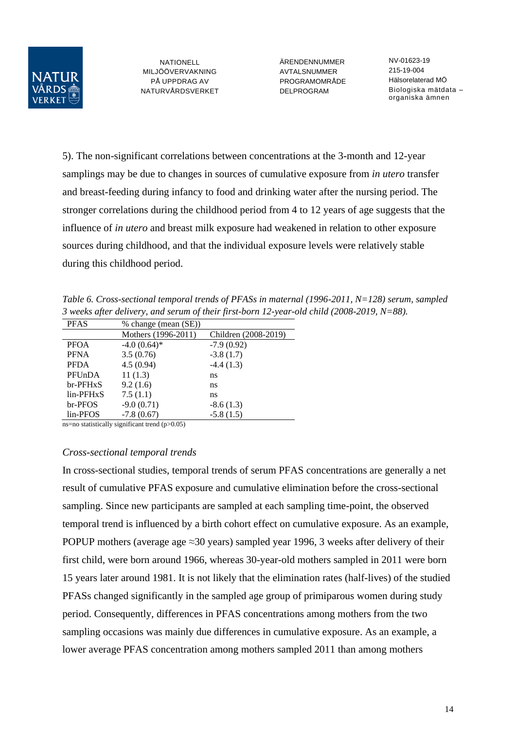

ÄRENDENNUMMER AVTALSNUMMER PROGRAMOMRÅDE DELPROGRAM

NV-01623-19 215-19-004 Hälsorelaterad MÖ Biologiska mätdata – organiska ämnen

5). The non-significant correlations between concentrations at the 3-month and 12-year samplings may be due to changes in sources of cumulative exposure from *in utero* transfer and breast-feeding during infancy to food and drinking water after the nursing period. The stronger correlations during the childhood period from 4 to 12 years of age suggests that the influence of *in utero* and breast milk exposure had weakened in relation to other exposure sources during childhood, and that the individual exposure levels were relatively stable during this childhood period.

*Table 6. Cross-sectional temporal trends of PFASs in maternal (1996-2011, N=128) serum, sampled 3 weeks after delivery, and serum of their first-born 12-year-old child (2008-2019, N=88).*

| <b>PFAS</b> | % change (mean (SE)) |                      |
|-------------|----------------------|----------------------|
|             | Mothers (1996-2011)  | Children (2008-2019) |
| <b>PFOA</b> | $-4.0(0.64)$ *       | $-7.9(0.92)$         |
| <b>PFNA</b> | 3.5(0.76)            | $-3.8(1.7)$          |
| <b>PFDA</b> | 4.5(0.94)            | $-4.4(1.3)$          |
| PFUnDA      | 11(1.3)              | ns                   |
| br-PFHxS    | 9.2(1.6)             | ns                   |
| lin-PFHxS   | 7.5(1.1)             | ns                   |
| br-PFOS     | $-9.0(0.71)$         | $-8.6(1.3)$          |
| lin-PFOS    | $-7.8(0.67)$         | $-5.8(1.5)$          |

ns=no statistically significant trend  $(p>0.05)$ 

#### *Cross-sectional temporal trends*

In cross-sectional studies, temporal trends of serum PFAS concentrations are generally a net result of cumulative PFAS exposure and cumulative elimination before the cross-sectional sampling. Since new participants are sampled at each sampling time-point, the observed temporal trend is influenced by a birth cohort effect on cumulative exposure. As an example, POPUP mothers (average age  $\approx$ 30 years) sampled year 1996, 3 weeks after delivery of their first child, were born around 1966, whereas 30-year-old mothers sampled in 2011 were born 15 years later around 1981. It is not likely that the elimination rates (half-lives) of the studied PFASs changed significantly in the sampled age group of primiparous women during study period. Consequently, differences in PFAS concentrations among mothers from the two sampling occasions was mainly due differences in cumulative exposure. As an example, a lower average PFAS concentration among mothers sampled 2011 than among mothers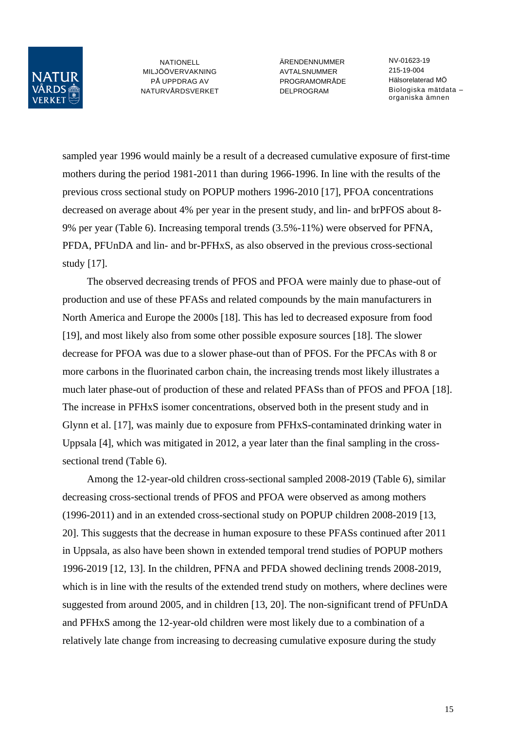

ÄRENDENNUMMER **AVTAL SNUMMER** PROGRAMOMRÅDE DELPROGRAM

NV-01623-19 215-19-004 Hälsorelaterad MÖ Biologiska mätdata – organiska ämnen

sampled year 1996 would mainly be a result of a decreased cumulative exposure of first-time mothers during the period 1981-2011 than during 1966-1996. In line with the results of the previous cross sectional study on POPUP mothers 1996-2010 [17], PFOA concentrations decreased on average about 4% per year in the present study, and lin- and brPFOS about 8- 9% per year (Table 6). Increasing temporal trends (3.5%-11%) were observed for PFNA, PFDA, PFUnDA and lin- and br-PFHxS, as also observed in the previous cross-sectional study [17].

The observed decreasing trends of PFOS and PFOA were mainly due to phase-out of production and use of these PFASs and related compounds by the main manufacturers in North America and Europe the 2000s [18]. This has led to decreased exposure from food [19], and most likely also from some other possible exposure sources [18]. The slower decrease for PFOA was due to a slower phase-out than of PFOS. For the PFCAs with 8 or more carbons in the fluorinated carbon chain, the increasing trends most likely illustrates a much later phase-out of production of these and related PFASs than of PFOS and PFOA [18]. The increase in PFHxS isomer concentrations, observed both in the present study and in Glynn et al. [17], was mainly due to exposure from PFHxS-contaminated drinking water in Uppsala [4], which was mitigated in 2012, a year later than the final sampling in the crosssectional trend (Table 6).

Among the 12-year-old children cross-sectional sampled 2008-2019 (Table 6), similar decreasing cross-sectional trends of PFOS and PFOA were observed as among mothers (1996-2011) and in an extended cross-sectional study on POPUP children 2008-2019 [13, 20]. This suggests that the decrease in human exposure to these PFASs continued after 2011 in Uppsala, as also have been shown in extended temporal trend studies of POPUP mothers 1996-2019 [12, 13]. In the children, PFNA and PFDA showed declining trends 2008-2019, which is in line with the results of the extended trend study on mothers, where declines were suggested from around 2005, and in children [13, 20]. The non-significant trend of PFUnDA and PFHxS among the 12-year-old children were most likely due to a combination of a relatively late change from increasing to decreasing cumulative exposure during the study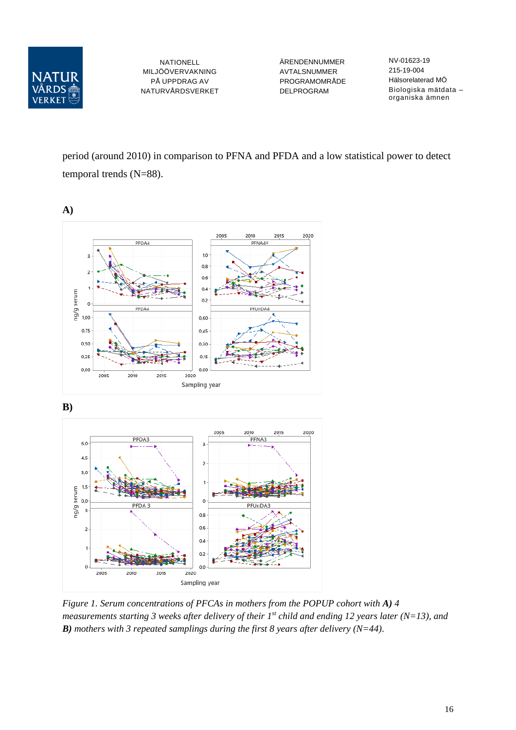

ÄRENDENNUMMER AVTALSNUMMER PROGRAMOMRÅDE DELPROGRAM

NV-01623-19 215-19-004 Hälsorelaterad MÖ Biologiska mätdata – organiska ämnen

period (around 2010) in comparison to PFNA and PFDA and a low statistical power to detect temporal trends (N=88).



**B)**



*Figure 1. Serum concentrations of PFCAs in mothers from the POPUP cohort with A) 4 measurements starting 3 weeks after delivery of their 1st child and ending 12 years later (N=13), and B) mothers with 3 repeated samplings during the first 8 years after delivery (N=44).*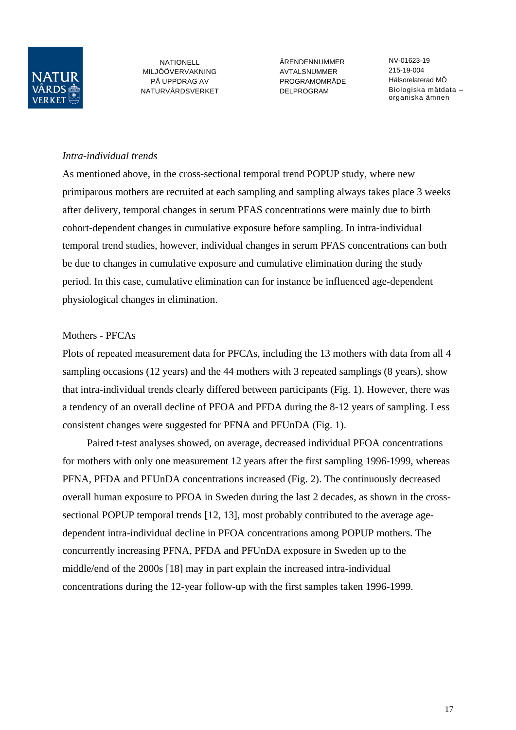

ÄRENDENNUMMER **AVTAL SNUMMER** PROGRAMOMRÅDE DELPROGRAM

NV-01623-19 215-19-004 Hälsorelaterad MÖ Biologiska mätdata – organiska ämnen

#### *Intra-individual trends*

As mentioned above, in the cross-sectional temporal trend POPUP study, where new primiparous mothers are recruited at each sampling and sampling always takes place 3 weeks after delivery, temporal changes in serum PFAS concentrations were mainly due to birth cohort-dependent changes in cumulative exposure before sampling. In intra-individual temporal trend studies, however, individual changes in serum PFAS concentrations can both be due to changes in cumulative exposure and cumulative elimination during the study period. In this case, cumulative elimination can for instance be influenced age-dependent physiological changes in elimination.

#### Mothers - PFCAs

Plots of repeated measurement data for PFCAs, including the 13 mothers with data from all 4 sampling occasions (12 years) and the 44 mothers with 3 repeated samplings (8 years), show that intra-individual trends clearly differed between participants (Fig. 1). However, there was a tendency of an overall decline of PFOA and PFDA during the 8-12 years of sampling. Less consistent changes were suggested for PFNA and PFUnDA (Fig. 1).

Paired t-test analyses showed, on average, decreased individual PFOA concentrations for mothers with only one measurement 12 years after the first sampling 1996-1999, whereas PFNA, PFDA and PFUnDA concentrations increased (Fig. 2). The continuously decreased overall human exposure to PFOA in Sweden during the last 2 decades, as shown in the crosssectional POPUP temporal trends [12, 13], most probably contributed to the average agedependent intra-individual decline in PFOA concentrations among POPUP mothers. The concurrently increasing PFNA, PFDA and PFUnDA exposure in Sweden up to the middle/end of the 2000s [18] may in part explain the increased intra-individual concentrations during the 12-year follow-up with the first samples taken 1996-1999.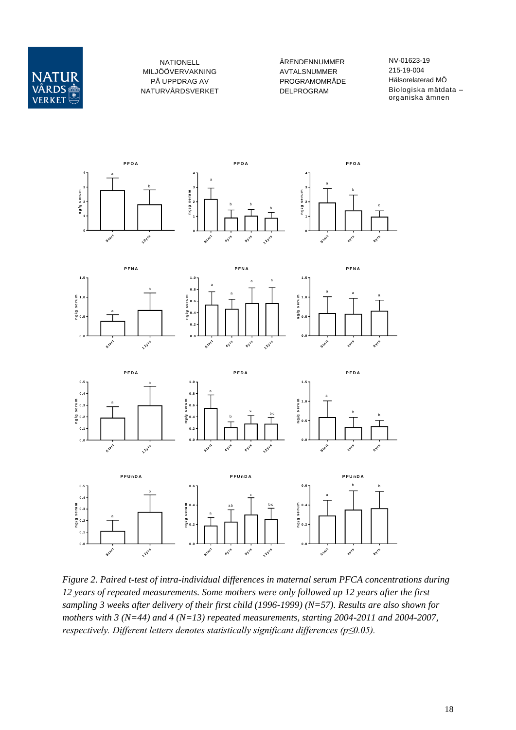

ÄRENDENNUMMER AVTALSNUMMER PROGRAMOMRÅDE DELPROGRAM

NV-01623-19 215-19-004 Hälsorelaterad MÖ Biologiska mätdata – organiska ämnen



*Figure 2. Paired t-test of intra-individual differences in maternal serum PFCA concentrations during 12 years of repeated measurements. Some mothers were only followed up 12 years after the first sampling 3 weeks after delivery of their first child (1996-1999) (N=57). Results are also shown for mothers with 3 (N=44) and 4 (N=13) repeated measurements, starting 2004-2011 and 2004-2007, respectively. Different letters denotes statistically significant differences (p≤0.05).*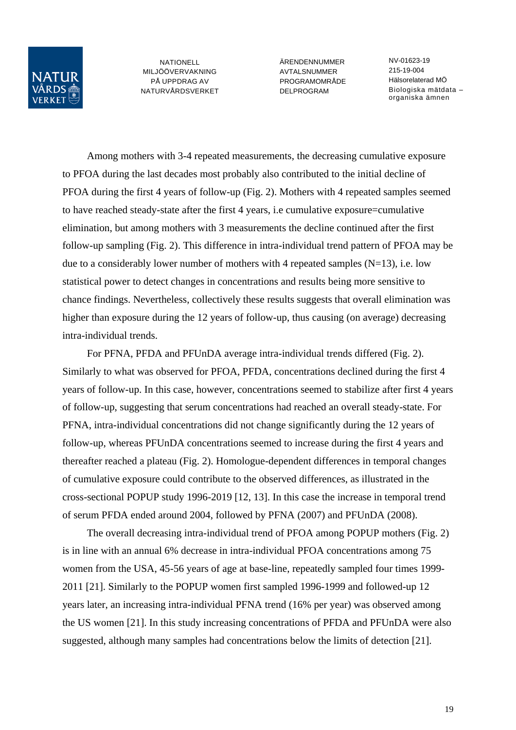

ÄRENDENNUMMER **AVTAL SNUMMER** PROGRAMOMRÅDE DELPROGRAM

NV-01623-19 215-19-004 Hälsorelaterad MÖ Biologiska mätdata – organiska ämnen

Among mothers with 3-4 repeated measurements, the decreasing cumulative exposure to PFOA during the last decades most probably also contributed to the initial decline of PFOA during the first 4 years of follow-up (Fig. 2). Mothers with 4 repeated samples seemed to have reached steady-state after the first 4 years, i.e cumulative exposure=cumulative elimination, but among mothers with 3 measurements the decline continued after the first follow-up sampling (Fig. 2). This difference in intra-individual trend pattern of PFOA may be due to a considerably lower number of mothers with 4 repeated samples  $(N=13)$ , i.e. low statistical power to detect changes in concentrations and results being more sensitive to chance findings. Nevertheless, collectively these results suggests that overall elimination was higher than exposure during the 12 years of follow-up, thus causing (on average) decreasing intra-individual trends.

For PFNA, PFDA and PFUnDA average intra-individual trends differed (Fig. 2). Similarly to what was observed for PFOA, PFDA, concentrations declined during the first 4 years of follow-up. In this case, however, concentrations seemed to stabilize after first 4 years of follow-up, suggesting that serum concentrations had reached an overall steady-state. For PFNA, intra-individual concentrations did not change significantly during the 12 years of follow-up, whereas PFUnDA concentrations seemed to increase during the first 4 years and thereafter reached a plateau (Fig. 2). Homologue-dependent differences in temporal changes of cumulative exposure could contribute to the observed differences, as illustrated in the cross-sectional POPUP study 1996-2019 [12, 13]. In this case the increase in temporal trend of serum PFDA ended around 2004, followed by PFNA (2007) and PFUnDA (2008).

The overall decreasing intra-individual trend of PFOA among POPUP mothers (Fig. 2) is in line with an annual 6% decrease in intra-individual PFOA concentrations among 75 women from the USA, 45-56 years of age at base-line, repeatedly sampled four times 1999- 2011 [21]. Similarly to the POPUP women first sampled 1996-1999 and followed-up 12 years later, an increasing intra-individual PFNA trend (16% per year) was observed among the US women [21]. In this study increasing concentrations of PFDA and PFUnDA were also suggested, although many samples had concentrations below the limits of detection [21].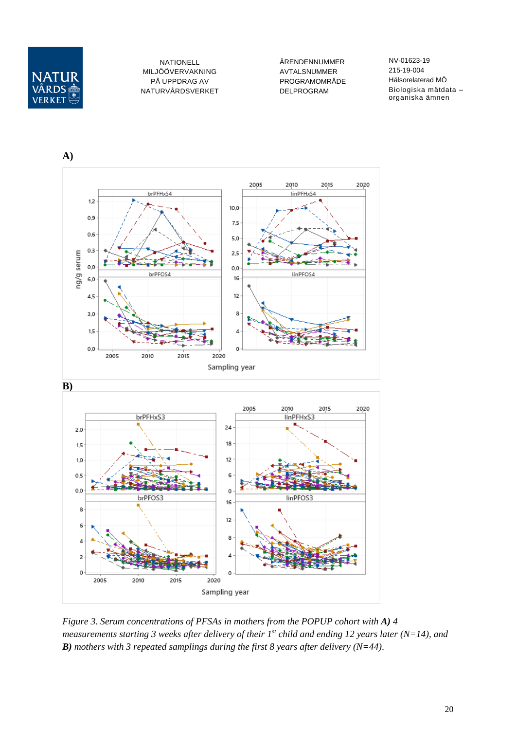

ÄRENDENNUMMER AVTALSNUMMER PROGRAMOMRÅDE DELPROGRAM

NV-01623-19 215-19-004 Hälsorelaterad MÖ Biologiska mätdata – organiska ämnen



*Figure 3. Serum concentrations of PFSAs in mothers from the POPUP cohort with A) 4 measurements starting 3 weeks after delivery of their 1st child and ending 12 years later (N=14), and B) mothers with 3 repeated samplings during the first 8 years after delivery (N=44).*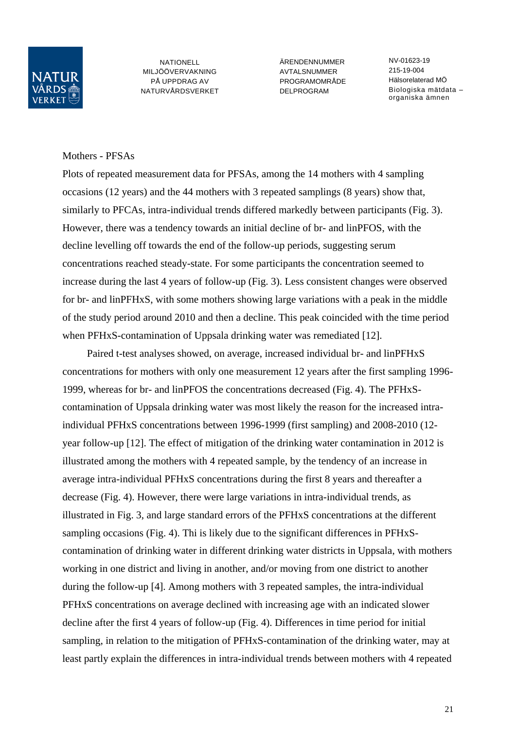

ÄRENDENNUMMER **AVTAL SNUMMER** PROGRAMOMRÅDE DELPROGRAM

NV-01623-19 215-19-004 Hälsorelaterad MÖ Biologiska mätdata – organiska ämnen

#### Mothers - PFSAs

Plots of repeated measurement data for PFSAs, among the 14 mothers with 4 sampling occasions (12 years) and the 44 mothers with 3 repeated samplings (8 years) show that, similarly to PFCAs, intra-individual trends differed markedly between participants (Fig. 3). However, there was a tendency towards an initial decline of br- and linPFOS, with the decline levelling off towards the end of the follow-up periods, suggesting serum concentrations reached steady-state. For some participants the concentration seemed to increase during the last 4 years of follow-up (Fig. 3). Less consistent changes were observed for br- and linPFHxS, with some mothers showing large variations with a peak in the middle of the study period around 2010 and then a decline. This peak coincided with the time period when PFHxS-contamination of Uppsala drinking water was remediated [12].

Paired t-test analyses showed, on average, increased individual br- and linPFHxS concentrations for mothers with only one measurement 12 years after the first sampling 1996- 1999, whereas for br- and linPFOS the concentrations decreased (Fig. 4). The PFHxScontamination of Uppsala drinking water was most likely the reason for the increased intraindividual PFHxS concentrations between 1996-1999 (first sampling) and 2008-2010 (12 year follow-up [12]. The effect of mitigation of the drinking water contamination in 2012 is illustrated among the mothers with 4 repeated sample, by the tendency of an increase in average intra-individual PFHxS concentrations during the first 8 years and thereafter a decrease (Fig. 4). However, there were large variations in intra-individual trends, as illustrated in Fig. 3, and large standard errors of the PFHxS concentrations at the different sampling occasions (Fig. 4). Thi is likely due to the significant differences in PFHxScontamination of drinking water in different drinking water districts in Uppsala, with mothers working in one district and living in another, and/or moving from one district to another during the follow-up [4]. Among mothers with 3 repeated samples, the intra-individual PFHxS concentrations on average declined with increasing age with an indicated slower decline after the first 4 years of follow-up (Fig. 4). Differences in time period for initial sampling, in relation to the mitigation of PFHxS-contamination of the drinking water, may at least partly explain the differences in intra-individual trends between mothers with 4 repeated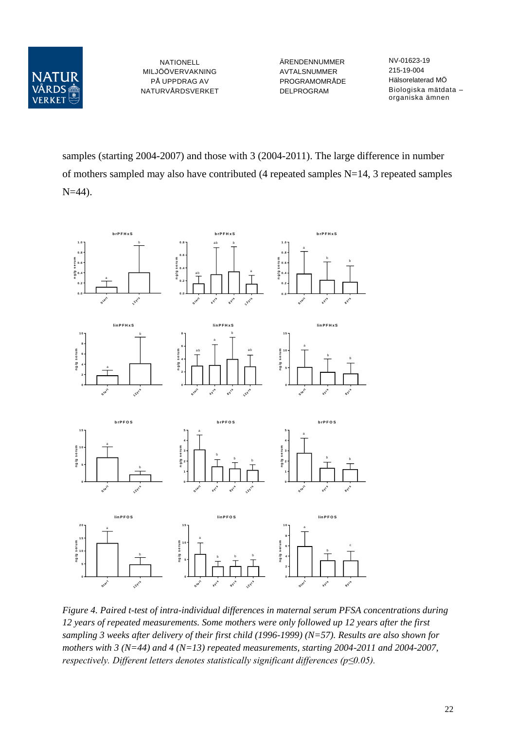

ÄRENDENNUMMER AVTALSNUMMER PROGRAMOMRÅDE DELPROGRAM

NV-01623-19 215-19-004 Hälsorelaterad MÖ Biologiska mätdata – organiska ämnen

samples (starting 2004-2007) and those with 3 (2004-2011). The large difference in number of mothers sampled may also have contributed (4 repeated samples N=14, 3 repeated samples N=44).



*Figure 4. Paired t-test of intra-individual differences in maternal serum PFSA concentrations during 12 years of repeated measurements. Some mothers were only followed up 12 years after the first sampling 3 weeks after delivery of their first child (1996-1999) (N=57). Results are also shown for mothers with 3 (N=44) and 4 (N=13) repeated measurements, starting 2004-2011 and 2004-2007, respectively. Different letters denotes statistically significant differences (p≤0.05).*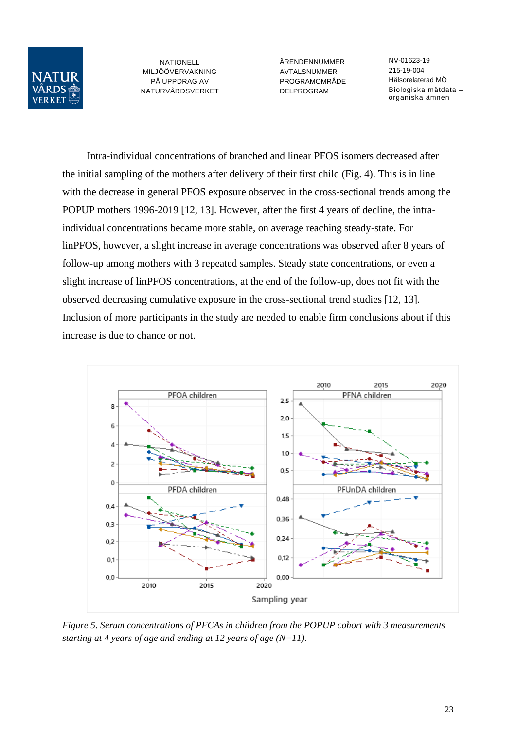

ÄRENDENNUMMER AVTALSNUMMER PROGRAMOMRÅDE DELPROGRAM

NV-01623-19 215-19-004 Hälsorelaterad MÖ Biologiska mätdata – organiska ämnen

Intra-individual concentrations of branched and linear PFOS isomers decreased after the initial sampling of the mothers after delivery of their first child (Fig. 4). This is in line with the decrease in general PFOS exposure observed in the cross-sectional trends among the POPUP mothers 1996-2019 [12, 13]. However, after the first 4 years of decline, the intraindividual concentrations became more stable, on average reaching steady-state. For linPFOS, however, a slight increase in average concentrations was observed after 8 years of follow-up among mothers with 3 repeated samples. Steady state concentrations, or even a slight increase of linPFOS concentrations, at the end of the follow-up, does not fit with the observed decreasing cumulative exposure in the cross-sectional trend studies [12, 13]. Inclusion of more participants in the study are needed to enable firm conclusions about if this increase is due to chance or not.



*Figure 5. Serum concentrations of PFCAs in children from the POPUP cohort with 3 measurements starting at 4 years of age and ending at 12 years of age (N=11).*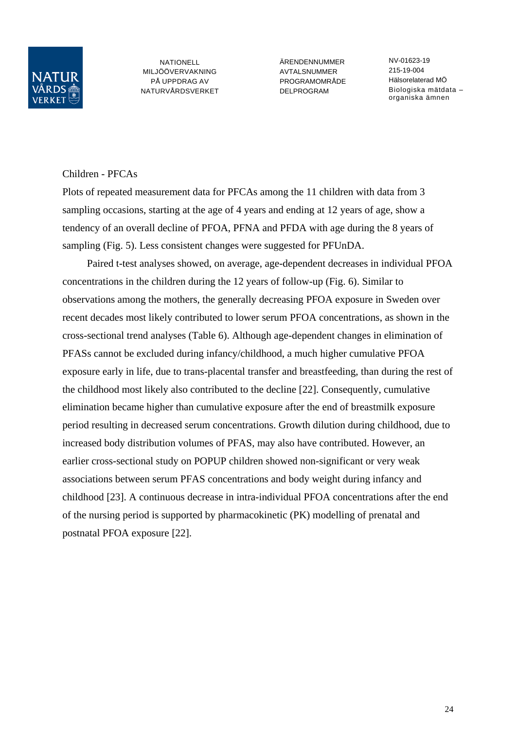

ÄRENDENNUMMER **AVTAL SNUMMER** PROGRAMOMRÅDE DELPROGRAM

NV-01623-19 215-19-004 Hälsorelaterad MÖ Biologiska mätdata – organiska ämnen

## Children - PFCAs

Plots of repeated measurement data for PFCAs among the 11 children with data from 3 sampling occasions, starting at the age of 4 years and ending at 12 years of age, show a tendency of an overall decline of PFOA, PFNA and PFDA with age during the 8 years of sampling (Fig. 5). Less consistent changes were suggested for PFUnDA.

Paired t-test analyses showed, on average, age-dependent decreases in individual PFOA concentrations in the children during the 12 years of follow-up (Fig. 6). Similar to observations among the mothers, the generally decreasing PFOA exposure in Sweden over recent decades most likely contributed to lower serum PFOA concentrations, as shown in the cross-sectional trend analyses (Table 6). Although age-dependent changes in elimination of PFASs cannot be excluded during infancy/childhood, a much higher cumulative PFOA exposure early in life, due to trans-placental transfer and breastfeeding, than during the rest of the childhood most likely also contributed to the decline [22]. Consequently, cumulative elimination became higher than cumulative exposure after the end of breastmilk exposure period resulting in decreased serum concentrations. Growth dilution during childhood, due to increased body distribution volumes of PFAS, may also have contributed. However, an earlier cross-sectional study on POPUP children showed non-significant or very weak associations between serum PFAS concentrations and body weight during infancy and childhood [23]. A continuous decrease in intra-individual PFOA concentrations after the end of the nursing period is supported by pharmacokinetic (PK) modelling of prenatal and postnatal PFOA exposure [22].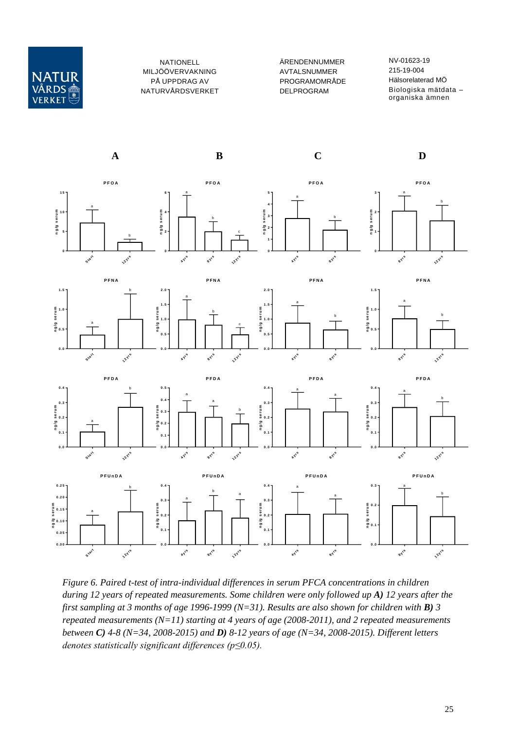

ÄRENDENNUMMER AVTALSNUMMER PROGRAMOMRÅDE DELPROGRAM

NV-01623-19 215-19-004 Hälsorelaterad MÖ Biologiska mätdata – organiska ämnen



*Figure 6. Paired t-test of intra-individual differences in serum PFCA concentrations in children during 12 years of repeated measurements. Some children were only followed up A) 12 years after the first sampling at 3 months of age 1996-1999 (N=31). Results are also shown for children with B) 3 repeated measurements (N=11) starting at 4 years of age (2008-2011), and 2 repeated measurements between C) 4-8 (N=34, 2008-2015) and D) 8-12 years of age (N=34, 2008-2015). Different letters denotes statistically significant differences (p≤0.05).*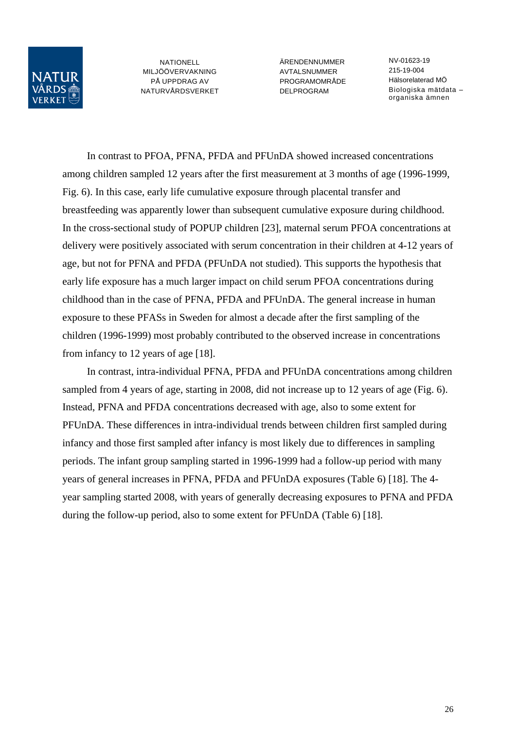

ÄRENDENNUMMER **AVTAL SNUMMER** PROGRAMOMRÅDE DELPROGRAM

NV-01623-19 215-19-004 Hälsorelaterad MÖ Biologiska mätdata – organiska ämnen

In contrast to PFOA, PFNA, PFDA and PFUnDA showed increased concentrations among children sampled 12 years after the first measurement at 3 months of age (1996-1999, Fig. 6). In this case, early life cumulative exposure through placental transfer and breastfeeding was apparently lower than subsequent cumulative exposure during childhood. In the cross-sectional study of POPUP children [23], maternal serum PFOA concentrations at delivery were positively associated with serum concentration in their children at 4-12 years of age, but not for PFNA and PFDA (PFUnDA not studied). This supports the hypothesis that early life exposure has a much larger impact on child serum PFOA concentrations during childhood than in the case of PFNA, PFDA and PFUnDA. The general increase in human exposure to these PFASs in Sweden for almost a decade after the first sampling of the children (1996-1999) most probably contributed to the observed increase in concentrations from infancy to 12 years of age [18].

In contrast, intra-individual PFNA, PFDA and PFUnDA concentrations among children sampled from 4 years of age, starting in 2008, did not increase up to 12 years of age (Fig. 6). Instead, PFNA and PFDA concentrations decreased with age, also to some extent for PFUnDA. These differences in intra-individual trends between children first sampled during infancy and those first sampled after infancy is most likely due to differences in sampling periods. The infant group sampling started in 1996-1999 had a follow-up period with many years of general increases in PFNA, PFDA and PFUnDA exposures (Table 6) [18]. The 4 year sampling started 2008, with years of generally decreasing exposures to PFNA and PFDA during the follow-up period, also to some extent for PFUnDA (Table 6) [18].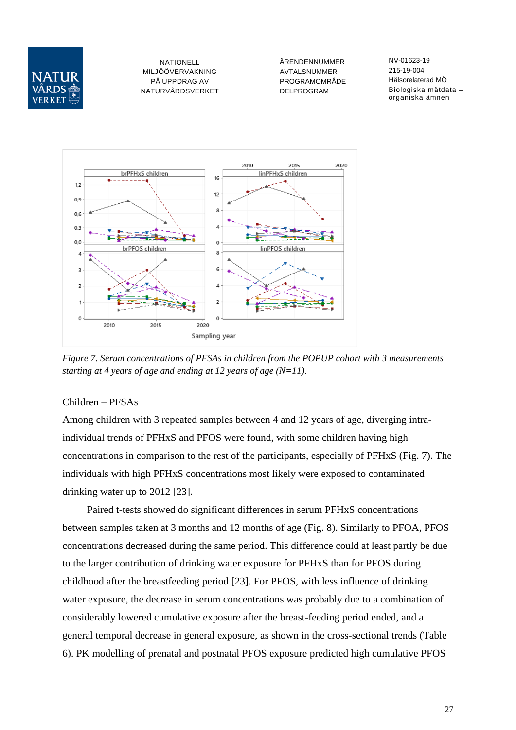

ÄRENDENNUMMER AVTALSNUMMER PROGRAMOMRÅDE DELPROGRAM

NV-01623-19 215-19-004 Hälsorelaterad MÖ Biologiska mätdata – organiska ämnen



*Figure 7. Serum concentrations of PFSAs in children from the POPUP cohort with 3 measurements starting at 4 years of age and ending at 12 years of age (N=11).*

#### Children – PFSAs

Among children with 3 repeated samples between 4 and 12 years of age, diverging intraindividual trends of PFHxS and PFOS were found, with some children having high concentrations in comparison to the rest of the participants, especially of PFHxS (Fig. 7). The individuals with high PFHxS concentrations most likely were exposed to contaminated drinking water up to 2012 [23].

Paired t-tests showed do significant differences in serum PFHxS concentrations between samples taken at 3 months and 12 months of age (Fig. 8). Similarly to PFOA, PFOS concentrations decreased during the same period. This difference could at least partly be due to the larger contribution of drinking water exposure for PFHxS than for PFOS during childhood after the breastfeeding period [23]. For PFOS, with less influence of drinking water exposure, the decrease in serum concentrations was probably due to a combination of considerably lowered cumulative exposure after the breast-feeding period ended, and a general temporal decrease in general exposure, as shown in the cross-sectional trends (Table 6). PK modelling of prenatal and postnatal PFOS exposure predicted high cumulative PFOS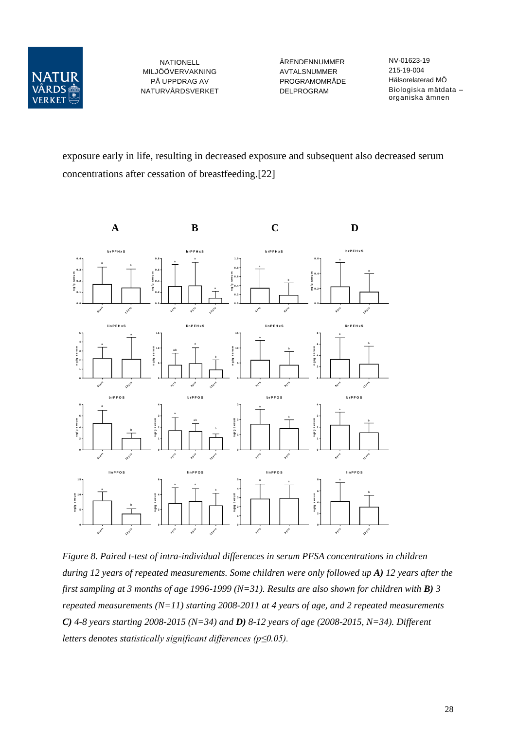

ÄRENDENNUMMER AVTALSNUMMER PROGRAMOMRÅDE DELPROGRAM

NV-01623-19 215-19-004 Hälsorelaterad MÖ Biologiska mätdata – organiska ämnen

exposure early in life, resulting in decreased exposure and subsequent also decreased serum concentrations after cessation of breastfeeding.[22]



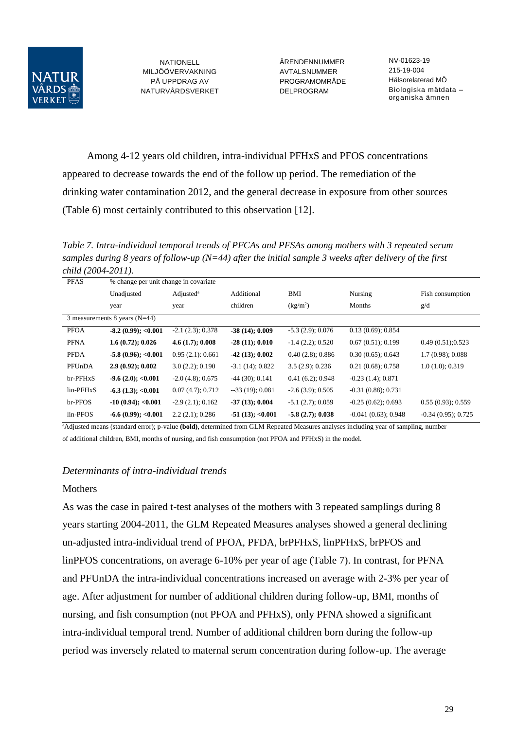

ÄRENDENNUMMER AVTALSNUMMER PROGRAMOMRÅDE DELPROGRAM

NV-01623-19 215-19-004 Hälsorelaterad MÖ Biologiska mätdata – organiska ämnen

Among 4-12 years old children, intra-individual PFHxS and PFOS concentrations appeared to decrease towards the end of the follow up period. The remediation of the drinking water contamination 2012, and the general decrease in exposure from other sources (Table 6) most certainly contributed to this observation [12].

*Table 7. Intra-individual temporal trends of PFCAs and PFSAs among mothers with 3 repeated serum samples during 8 years of follow-up (N=44) after the initial sample 3 weeks after delivery of the first child (2004-2011).*

| <b>PFAS</b> | % change per unit change in covariate |                              |                    |                      |                       |                      |
|-------------|---------------------------------------|------------------------------|--------------------|----------------------|-----------------------|----------------------|
|             | Unadjusted                            | $\text{Adjusted}^{\text{a}}$ | Additional         | BMI                  | Nursing               | Fish consumption     |
|             | year                                  | year                         | children           | (kg/m <sup>2</sup> ) | Months                | g/d                  |
|             | 3 measurements 8 years $(N=44)$       |                              |                    |                      |                       |                      |
| <b>PFOA</b> | $-8.2(0.99)$ ; < 0.001                | $-2.1(2.3); 0.378$           | $-38(14); 0.009$   | $-5.3(2.9)$ ; 0.076  | $0.13(0.69)$ ; 0.854  |                      |
| <b>PFNA</b> | 1.6(0.72); 0.026                      | 4.6(1.7); 0.008              | $-28(11); 0.010$   | $-1.4$ (2.2); 0.520  | 0.67(0.51); 0.199     | 0.49(0.51); 0.523    |
| <b>PFDA</b> | $-5.8(0.96)$ ; <0.001                 | 0.95(2.1): 0.661             | $-42(13); 0.002$   | 0.40(2.8); 0.886     | 0.30(0.65); 0.643     | $1.7(0.98)$ ; 0.088  |
| PFUnDA      | 2.9(0.92); 0.002                      | 3.0(2.2); 0.190              | $-3.1(14)$ ; 0.822 | $3.5(2.9)$ ; 0.236   | 0.21(0.68); 0.758     | 1.0(1.0); 0.319      |
| br-PFHxS    | $-9.6(2.0); < 0.001$                  | $-2.0(4.8)$ ; 0.675          | $-44$ (30); 0.141  | $0.41(6.2)$ ; 0.948  | $-0.23(1.4); 0.871$   |                      |
| $lin-PFHxS$ | $-6.3(1.3); < 0.001$                  | 0.07(4.7); 0.712             | $-33(19)$ ; 0.081  | $-2.6(3.9); 0.505$   | $-0.31(0.88); 0.731$  |                      |
| br-PFOS     | $-10(0.94); < 0.001$                  | $-2.9(2.1); 0.162$           | $-37(13); 0.004$   | $-5.1(2.7)$ ; 0.059  | $-0.25(0.62); 0.693$  | 0.55(0.93); 0.559    |
| lin-PFOS    | $-6.6(0.99)$ ; <0.001                 | 2.2(2.1): 0.286              | $-51(13)$ ; <0.001 | $-5.8(2.7); 0.038$   | $-0.041(0.63); 0.948$ | $-0.34(0.95); 0.725$ |

<sup>a</sup>Adjusted means (standard error); p-value (bold), determined from GLM Repeated Measures analyses including year of sampling, number of additional children, BMI, months of nursing, and fish consumption (not PFOA and PFHxS) in the model.

#### *Determinants of intra-individual trends*

#### **Mothers**

As was the case in paired t-test analyses of the mothers with 3 repeated samplings during 8 years starting 2004-2011, the GLM Repeated Measures analyses showed a general declining un-adjusted intra-individual trend of PFOA, PFDA, brPFHxS, linPFHxS, brPFOS and linPFOS concentrations, on average 6-10% per year of age (Table 7). In contrast, for PFNA and PFUnDA the intra-individual concentrations increased on average with 2-3% per year of age. After adjustment for number of additional children during follow-up, BMI, months of nursing, and fish consumption (not PFOA and PFHxS), only PFNA showed a significant intra-individual temporal trend. Number of additional children born during the follow-up period was inversely related to maternal serum concentration during follow-up. The average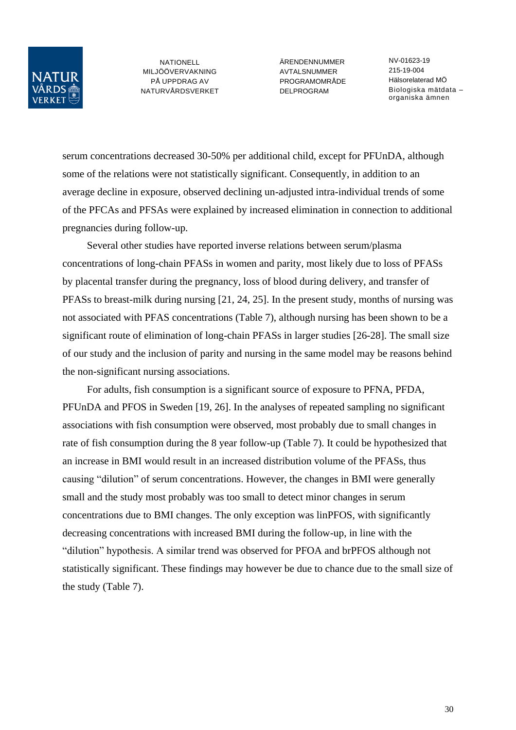

ÄRENDENNUMMER **AVTAL SNUMMER** PROGRAMOMRÅDE DELPROGRAM

NV-01623-19 215-19-004 Hälsorelaterad MÖ Biologiska mätdata – organiska ämnen

serum concentrations decreased 30-50% per additional child, except for PFUnDA, although some of the relations were not statistically significant. Consequently, in addition to an average decline in exposure, observed declining un-adjusted intra-individual trends of some of the PFCAs and PFSAs were explained by increased elimination in connection to additional pregnancies during follow-up.

Several other studies have reported inverse relations between serum/plasma concentrations of long-chain PFASs in women and parity, most likely due to loss of PFASs by placental transfer during the pregnancy, loss of blood during delivery, and transfer of PFASs to breast-milk during nursing [21, 24, 25]. In the present study, months of nursing was not associated with PFAS concentrations (Table 7), although nursing has been shown to be a significant route of elimination of long-chain PFASs in larger studies [26-28]. The small size of our study and the inclusion of parity and nursing in the same model may be reasons behind the non-significant nursing associations.

For adults, fish consumption is a significant source of exposure to PFNA, PFDA, PFUnDA and PFOS in Sweden [19, 26]. In the analyses of repeated sampling no significant associations with fish consumption were observed, most probably due to small changes in rate of fish consumption during the 8 year follow-up (Table 7). It could be hypothesized that an increase in BMI would result in an increased distribution volume of the PFASs, thus causing "dilution" of serum concentrations. However, the changes in BMI were generally small and the study most probably was too small to detect minor changes in serum concentrations due to BMI changes. The only exception was linPFOS, with significantly decreasing concentrations with increased BMI during the follow-up, in line with the "dilution" hypothesis. A similar trend was observed for PFOA and brPFOS although not statistically significant. These findings may however be due to chance due to the small size of the study (Table 7).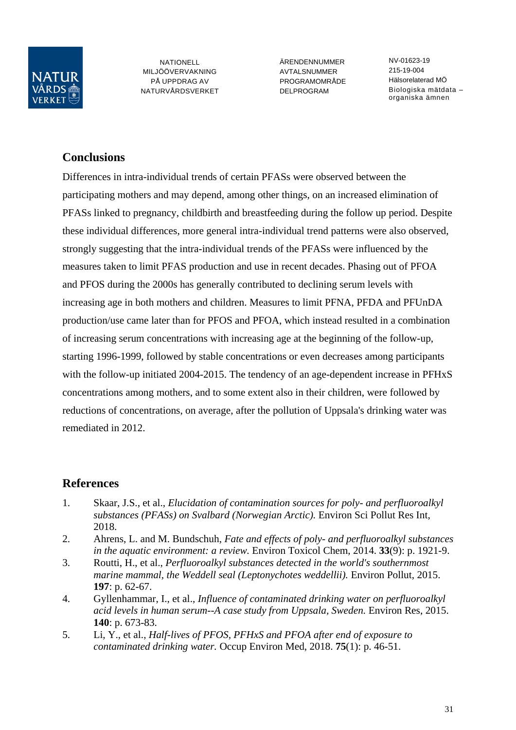

ÄRENDENNUMMER **AVTAL SNUMMER** PROGRAMOMRÅDE DELPROGRAM

NV-01623-19 215-19-004 Hälsorelaterad MÖ Biologiska mätdata – organiska ämnen

## **Conclusions**

Differences in intra-individual trends of certain PFASs were observed between the participating mothers and may depend, among other things, on an increased elimination of PFASs linked to pregnancy, childbirth and breastfeeding during the follow up period. Despite these individual differences, more general intra-individual trend patterns were also observed, strongly suggesting that the intra-individual trends of the PFASs were influenced by the measures taken to limit PFAS production and use in recent decades. Phasing out of PFOA and PFOS during the 2000s has generally contributed to declining serum levels with increasing age in both mothers and children. Measures to limit PFNA, PFDA and PFUnDA production/use came later than for PFOS and PFOA, which instead resulted in a combination of increasing serum concentrations with increasing age at the beginning of the follow-up, starting 1996-1999, followed by stable concentrations or even decreases among participants with the follow-up initiated 2004-2015. The tendency of an age-dependent increase in PFHxS concentrations among mothers, and to some extent also in their children, were followed by reductions of concentrations, on average, after the pollution of Uppsala's drinking water was remediated in 2012.

## **References**

- 1. Skaar, J.S., et al., *Elucidation of contamination sources for poly- and perfluoroalkyl substances (PFASs) on Svalbard (Norwegian Arctic).* Environ Sci Pollut Res Int, 2018.
- 2. Ahrens, L. and M. Bundschuh, *Fate and effects of poly- and perfluoroalkyl substances in the aquatic environment: a review.* Environ Toxicol Chem, 2014. **33**(9): p. 1921-9.
- 3. Routti, H., et al., *Perfluoroalkyl substances detected in the world's southernmost marine mammal, the Weddell seal (Leptonychotes weddellii).* Environ Pollut, 2015. **197**: p. 62-67.
- 4. Gyllenhammar, I., et al., *Influence of contaminated drinking water on perfluoroalkyl acid levels in human serum--A case study from Uppsala, Sweden.* Environ Res, 2015. **140**: p. 673-83.
- 5. Li, Y., et al., *Half-lives of PFOS, PFHxS and PFOA after end of exposure to contaminated drinking water.* Occup Environ Med, 2018. **75**(1): p. 46-51.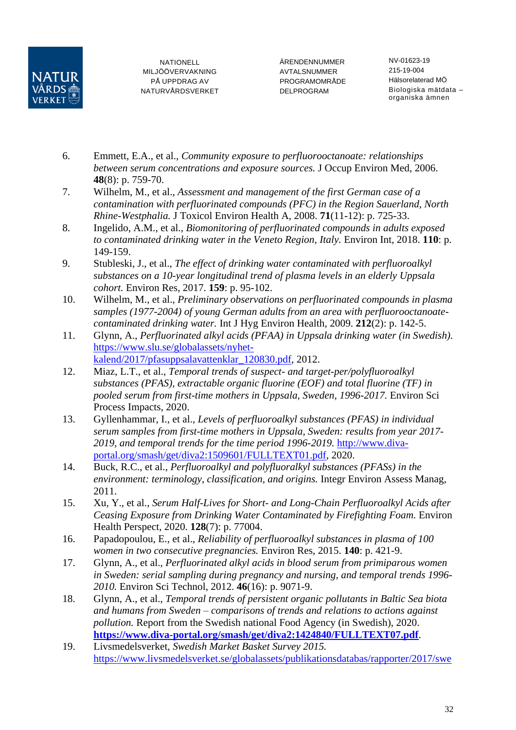

ÄRENDENNUMMER AVTALSNUMMER PROGRAMOMRÅDE DELPROGRAM

NV-01623-19 215-19-004 Hälsorelaterad MÖ Biologiska mätdata – organiska ämnen

- 6. Emmett, E.A., et al., *Community exposure to perfluorooctanoate: relationships between serum concentrations and exposure sources.* J Occup Environ Med, 2006. **48**(8): p. 759-70.
- 7. Wilhelm, M., et al., *Assessment and management of the first German case of a contamination with perfluorinated compounds (PFC) in the Region Sauerland, North Rhine-Westphalia.* J Toxicol Environ Health A, 2008. **71**(11-12): p. 725-33.
- 8. Ingelido, A.M., et al., *Biomonitoring of perfluorinated compounds in adults exposed to contaminated drinking water in the Veneto Region, Italy.* Environ Int, 2018. **110**: p. 149-159.
- 9. Stubleski, J., et al., *The effect of drinking water contaminated with perfluoroalkyl substances on a 10-year longitudinal trend of plasma levels in an elderly Uppsala cohort.* Environ Res, 2017. **159**: p. 95-102.
- 10. Wilhelm, M., et al., *Preliminary observations on perfluorinated compounds in plasma samples (1977-2004) of young German adults from an area with perfluorooctanoatecontaminated drinking water.* Int J Hyg Environ Health, 2009. **212**(2): p. 142-5.
- 11. Glynn, A., *Perfluorinated alkyl acids (PFAA) in Uppsala drinking water (in Swedish).* [https://www.slu.se/globalassets/nyhet](https://www.slu.se/globalassets/nyhet-kalend/2017/pfasuppsalavattenklar_120830.pdf)[kalend/2017/pfasuppsalavattenklar\\_120830.pdf,](https://www.slu.se/globalassets/nyhet-kalend/2017/pfasuppsalavattenklar_120830.pdf) 2012.
- 12. Miaz, L.T., et al., *Temporal trends of suspect- and target-per/polyfluoroalkyl substances (PFAS), extractable organic fluorine (EOF) and total fluorine (TF) in pooled serum from first-time mothers in Uppsala, Sweden, 1996-2017.* Environ Sci Process Impacts, 2020.
- 13. Gyllenhammar, I., et al., *Levels of perfluoroalkyl substances (PFAS) in individual serum samples from first-time mothers in Uppsala, Sweden: results from year 2017- 2019, and temporal trends for the time period 1996-2019.* [http://www.diva](http://www.diva-portal.org/smash/get/diva2:1509601/FULLTEXT01.pdf)[portal.org/smash/get/diva2:1509601/FULLTEXT01.pdf,](http://www.diva-portal.org/smash/get/diva2:1509601/FULLTEXT01.pdf) 2020.
- 14. Buck, R.C., et al., *Perfluoroalkyl and polyfluoralkyl substances (PFASs) in the environment: terminology, classification, and origins.* Integr Environ Assess Manag, 2011.
- 15. Xu, Y., et al., *Serum Half-Lives for Short- and Long-Chain Perfluoroalkyl Acids after Ceasing Exposure from Drinking Water Contaminated by Firefighting Foam.* Environ Health Perspect, 2020. **128**(7): p. 77004.
- 16. Papadopoulou, E., et al., *Reliability of perfluoroalkyl substances in plasma of 100 women in two consecutive pregnancies.* Environ Res, 2015. **140**: p. 421-9.
- 17. Glynn, A., et al., *Perfluorinated alkyl acids in blood serum from primiparous women in Sweden: serial sampling during pregnancy and nursing, and temporal trends 1996- 2010.* Environ Sci Technol, 2012. **46**(16): p. 9071-9.
- 18. Glynn, A., et al., *Temporal trends of persistent organic pollutants in Baltic Sea biota and humans from Sweden – comparisons of trends and relations to actions against pollution.* Report from the Swedish national Food Agency (in Swedish), 2020. **<https://www.diva-portal.org/smash/get/diva2:1424840/FULLTEXT07.pdf>**.
- 19. Livsmedelsverket, *Swedish Market Basket Survey 2015.* [https://www.livsmedelsverket.se/globalassets/publikationsdatabas/rapporter/2017/swe](https://www.livsmedelsverket.se/globalassets/publikationsdatabas/rapporter/2017/swedish-market-basket-survey-2015-livsmedelsverkets-rapportserie-nr-26-20172.pdf)